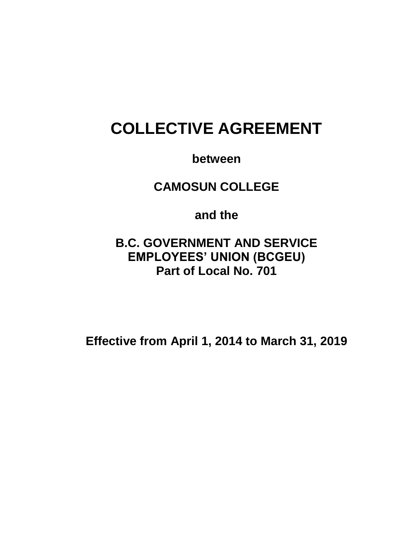# **COLLECTIVE AGREEMENT**

**between**

**CAMOSUN COLLEGE**

**and the**

**B.C. GOVERNMENT AND SERVICE EMPLOYEES' UNION (BCGEU) Part of Local No. 701**

**Effective from April 1, 2014 to March 31, 2019**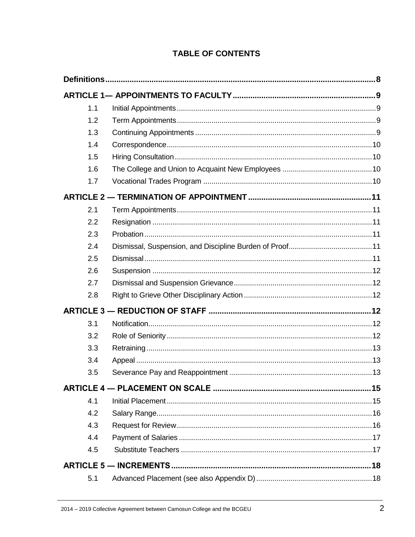| 1.1 |  |
|-----|--|
| 1.2 |  |
| 1.3 |  |
| 1.4 |  |
| 1.5 |  |
| 1.6 |  |
| 1.7 |  |
|     |  |
| 2.1 |  |
| 2.2 |  |
| 2.3 |  |
| 2.4 |  |
| 2.5 |  |
| 2.6 |  |
| 2.7 |  |
| 2.8 |  |
|     |  |
| 3.1 |  |
| 3.2 |  |
| 3.3 |  |
| 3.4 |  |
| 3.5 |  |
|     |  |
| 4.1 |  |
| 4.2 |  |
| 4.3 |  |
| 4.4 |  |
| 4.5 |  |
|     |  |
| 5.1 |  |

# **TABLE OF CONTENTS**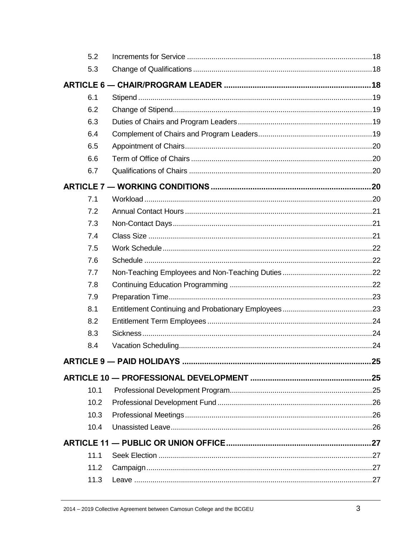| 5.2  |     |
|------|-----|
| 5.3  |     |
|      |     |
| 6.1  |     |
| 6.2  |     |
| 6.3  |     |
| 6.4  |     |
| 6.5  |     |
| 6.6  |     |
| 6.7  |     |
|      |     |
| 7.1  |     |
| 7.2  |     |
| 7.3  |     |
| 7.4  |     |
| 7.5  |     |
| 7.6  |     |
| 7.7  |     |
| 7.8  |     |
| 7.9  |     |
| 8.1  |     |
| 8.2  |     |
| 8.3  |     |
| 8.4  |     |
|      | .25 |
|      |     |
| 10.1 |     |
| 10.2 |     |
| 10.3 |     |
| 10.4 |     |
|      |     |
| 11.1 |     |
| 11.2 |     |
| 11.3 |     |
|      |     |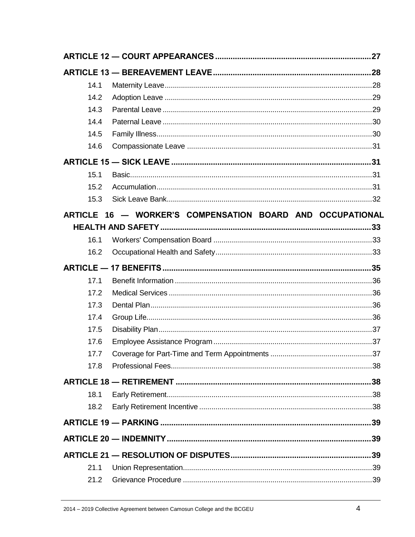| 14.1 |                                                           |  |
|------|-----------------------------------------------------------|--|
| 14.2 |                                                           |  |
| 14.3 |                                                           |  |
| 14.4 |                                                           |  |
| 14.5 |                                                           |  |
| 14.6 |                                                           |  |
|      |                                                           |  |
| 15.1 |                                                           |  |
| 15.2 |                                                           |  |
| 15.3 |                                                           |  |
|      | ARTICLE 16 - WORKER'S COMPENSATION BOARD AND OCCUPATIONAL |  |
|      |                                                           |  |
| 16.1 |                                                           |  |
| 16.2 |                                                           |  |
|      |                                                           |  |
| 17.1 |                                                           |  |
| 17.2 |                                                           |  |
| 17.3 |                                                           |  |
| 17.4 |                                                           |  |
| 17.5 |                                                           |  |
| 17.6 |                                                           |  |
| 17.7 |                                                           |  |
| 17.8 |                                                           |  |
|      |                                                           |  |
| 18.1 |                                                           |  |
| 18.2 |                                                           |  |
|      |                                                           |  |
|      |                                                           |  |
|      |                                                           |  |
| 21.1 |                                                           |  |
| 21.2 |                                                           |  |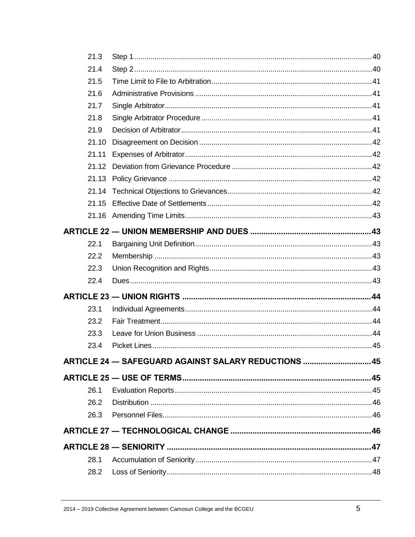| 21.3  |                                                      |  |
|-------|------------------------------------------------------|--|
| 21.4  |                                                      |  |
| 21.5  |                                                      |  |
| 21.6  |                                                      |  |
| 21.7  |                                                      |  |
| 21.8  |                                                      |  |
| 21.9  |                                                      |  |
| 21.10 |                                                      |  |
| 21.11 |                                                      |  |
|       |                                                      |  |
|       |                                                      |  |
|       |                                                      |  |
|       |                                                      |  |
|       |                                                      |  |
|       |                                                      |  |
| 22.1  |                                                      |  |
| 22.2  |                                                      |  |
| 22.3  |                                                      |  |
| 22.4  |                                                      |  |
|       |                                                      |  |
| 23.1  |                                                      |  |
| 23.2  |                                                      |  |
| 23.3  |                                                      |  |
| 23.4  |                                                      |  |
|       | ARTICLE 24 - SAFEGUARD AGAINST SALARY REDUCTIONS  45 |  |
|       |                                                      |  |
| 26.1  |                                                      |  |
| 26.2  |                                                      |  |
| 26.3  |                                                      |  |
|       |                                                      |  |
|       |                                                      |  |
| 28.1  |                                                      |  |
| 28.2  |                                                      |  |
|       |                                                      |  |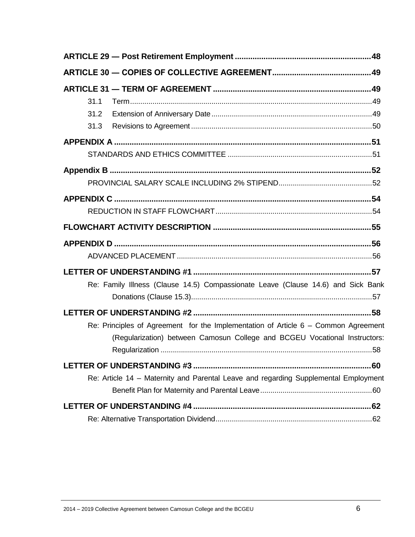| 31.1                                                                                |
|-------------------------------------------------------------------------------------|
| 31.2                                                                                |
| 31.3                                                                                |
|                                                                                     |
|                                                                                     |
|                                                                                     |
|                                                                                     |
|                                                                                     |
|                                                                                     |
|                                                                                     |
|                                                                                     |
|                                                                                     |
|                                                                                     |
| Re: Family Illness (Clause 14.5) Compassionate Leave (Clause 14.6) and Sick Bank    |
|                                                                                     |
|                                                                                     |
| Re: Principles of Agreement for the Implementation of Article 6 - Common Agreement  |
| (Regularization) between Camosun College and BCGEU Vocational Instructors:          |
|                                                                                     |
| 60                                                                                  |
| Re: Article 14 - Maternity and Parental Leave and regarding Supplemental Employment |
|                                                                                     |
|                                                                                     |
|                                                                                     |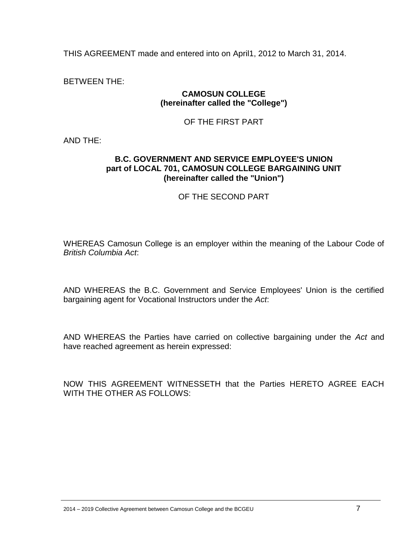THIS AGREEMENT made and entered into on April1, 2012 to March 31, 2014.

BETWEEN THE:

#### **CAMOSUN COLLEGE (hereinafter called the "College")**

#### OF THE FIRST PART

AND THE:

#### **B.C. GOVERNMENT AND SERVICE EMPLOYEE'S UNION part of LOCAL 701, CAMOSUN COLLEGE BARGAINING UNIT (hereinafter called the "Union")**

#### OF THE SECOND PART

WHEREAS Camosun College is an employer within the meaning of the Labour Code of *British Columbia Act*:

AND WHEREAS the B.C. Government and Service Employees' Union is the certified bargaining agent for Vocational Instructors under the *Act*:

AND WHEREAS the Parties have carried on collective bargaining under the *Act* and have reached agreement as herein expressed:

NOW THIS AGREEMENT WITNESSETH that the Parties HERETO AGREE EACH WITH THE OTHER AS FOLLOWS: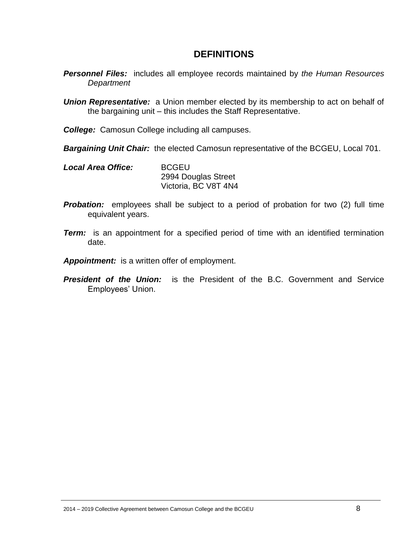# **DEFINITIONS**

- <span id="page-7-0"></span>*Personnel Files:* includes all employee records maintained by *the Human Resources Department*
- *Union Representative:* a Union member elected by its membership to act on behalf of the bargaining unit – this includes the Staff Representative.
- *College:* Camosun College including all campuses.
- *Bargaining Unit Chair:* the elected Camosun representative of the BCGEU, Local 701.
- *Local Area Office:* BCGEU 2994 Douglas Street Victoria, BC V8T 4N4
- **Probation:** employees shall be subject to a period of probation for two (2) full time equivalent years.
- *Term:* is an appointment for a specified period of time with an identified termination date.
- *Appointment:* is a written offer of employment.
- *President of the Union:* is the President of the B.C. Government and Service Employees' Union.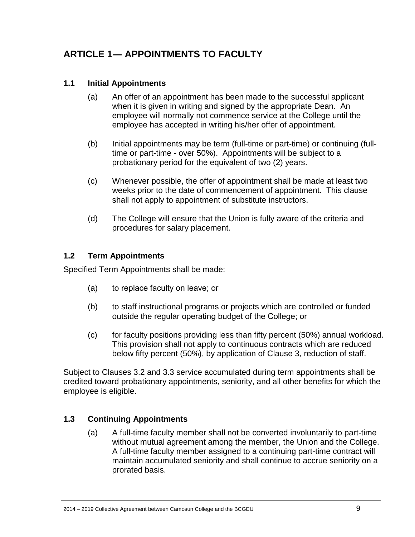# <span id="page-8-0"></span>**ARTICLE 1― APPOINTMENTS TO FACULTY**

## <span id="page-8-1"></span>**1.1 Initial Appointments**

- (a) An offer of an appointment has been made to the successful applicant when it is given in writing and signed by the appropriate Dean. An employee will normally not commence service at the College until the employee has accepted in writing his/her offer of appointment.
- (b) Initial appointments may be term (full-time or part-time) or continuing (fulltime or part-time - over 50%). Appointments will be subject to a probationary period for the equivalent of two (2) years.
- (c) Whenever possible, the offer of appointment shall be made at least two weeks prior to the date of commencement of appointment. This clause shall not apply to appointment of substitute instructors.
- (d) The College will ensure that the Union is fully aware of the criteria and procedures for salary placement.

## <span id="page-8-2"></span>**1.2 Term Appointments**

Specified Term Appointments shall be made:

- (a) to replace faculty on leave; or
- (b) to staff instructional programs or projects which are controlled or funded outside the regular operating budget of the College; or
- (c) for faculty positions providing less than fifty percent (50%) annual workload. This provision shall not apply to continuous contracts which are reduced below fifty percent (50%), by application of Clause 3, reduction of staff.

Subject to Clauses 3.2 and 3.3 service accumulated during term appointments shall be credited toward probationary appointments, seniority, and all other benefits for which the employee is eligible.

# <span id="page-8-3"></span>**1.3 Continuing Appointments**

(a) A full-time faculty member shall not be converted involuntarily to part-time without mutual agreement among the member, the Union and the College. A full-time faculty member assigned to a continuing part-time contract will maintain accumulated seniority and shall continue to accrue seniority on a prorated basis.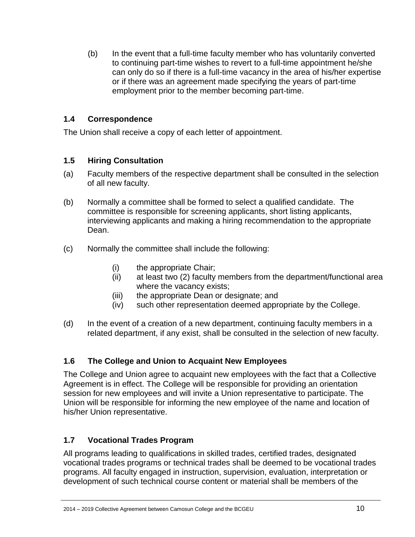(b) In the event that a full-time faculty member who has voluntarily converted to continuing part-time wishes to revert to a full-time appointment he/she can only do so if there is a full-time vacancy in the area of his/her expertise or if there was an agreement made specifying the years of part-time employment prior to the member becoming part-time.

## <span id="page-9-0"></span>**1.4 Correspondence**

The Union shall receive a copy of each letter of appointment.

## <span id="page-9-1"></span>**1.5 Hiring Consultation**

- (a) Faculty members of the respective department shall be consulted in the selection of all new faculty.
- (b) Normally a committee shall be formed to select a qualified candidate. The committee is responsible for screening applicants, short listing applicants, interviewing applicants and making a hiring recommendation to the appropriate Dean.
- (c) Normally the committee shall include the following:
	- (i) the appropriate Chair;
	- (ii) at least two (2) faculty members from the department/functional area where the vacancy exists;
	- (iii) the appropriate Dean or designate; and
	- (iv) such other representation deemed appropriate by the College.
- (d) In the event of a creation of a new department, continuing faculty members in a related department, if any exist, shall be consulted in the selection of new faculty.

# <span id="page-9-2"></span>**1.6 The College and Union to Acquaint New Employees**

The College and Union agree to acquaint new employees with the fact that a Collective Agreement is in effect. The College will be responsible for providing an orientation session for new employees and will invite a Union representative to participate. The Union will be responsible for informing the new employee of the name and location of his/her Union representative.

# <span id="page-9-3"></span>**1.7 Vocational Trades Program**

All programs leading to qualifications in skilled trades, certified trades, designated vocational trades programs or technical trades shall be deemed to be vocational trades programs. All faculty engaged in instruction, supervision, evaluation, interpretation or development of such technical course content or material shall be members of the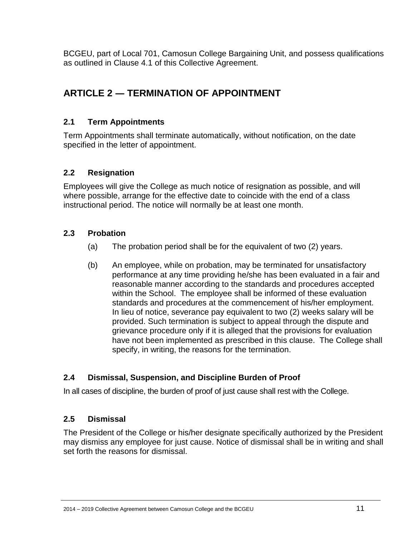BCGEU, part of Local 701, Camosun College Bargaining Unit, and possess qualifications as outlined in Clause 4.1 of this Collective Agreement.

# <span id="page-10-0"></span>**ARTICLE 2 ― TERMINATION OF APPOINTMENT**

# <span id="page-10-1"></span>**2.1 Term Appointments**

Term Appointments shall terminate automatically, without notification, on the date specified in the letter of appointment.

## <span id="page-10-2"></span>**2.2 Resignation**

Employees will give the College as much notice of resignation as possible, and will where possible, arrange for the effective date to coincide with the end of a class instructional period. The notice will normally be at least one month.

## <span id="page-10-3"></span>**2.3 Probation**

- (a) The probation period shall be for the equivalent of two (2) years.
- (b) An employee, while on probation, may be terminated for unsatisfactory performance at any time providing he/she has been evaluated in a fair and reasonable manner according to the standards and procedures accepted within the School. The employee shall be informed of these evaluation standards and procedures at the commencement of his/her employment. In lieu of notice, severance pay equivalent to two (2) weeks salary will be provided. Such termination is subject to appeal through the dispute and grievance procedure only if it is alleged that the provisions for evaluation have not been implemented as prescribed in this clause. The College shall specify, in writing, the reasons for the termination.

# <span id="page-10-4"></span>**2.4 Dismissal, Suspension, and Discipline Burden of Proof**

In all cases of discipline, the burden of proof of just cause shall rest with the College.

## <span id="page-10-5"></span>**2.5 Dismissal**

The President of the College or his/her designate specifically authorized by the President may dismiss any employee for just cause. Notice of dismissal shall be in writing and shall set forth the reasons for dismissal.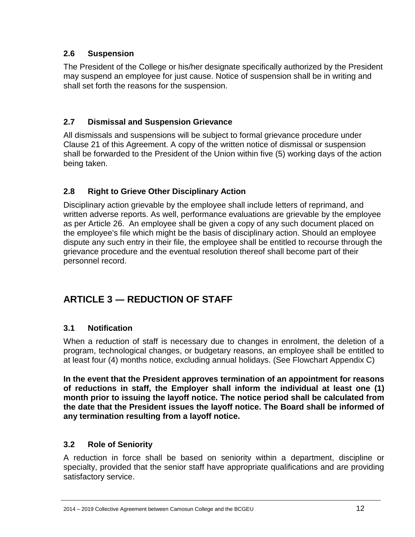# <span id="page-11-0"></span>**2.6 Suspension**

The President of the College or his/her designate specifically authorized by the President may suspend an employee for just cause. Notice of suspension shall be in writing and shall set forth the reasons for the suspension.

# <span id="page-11-1"></span>**2.7 Dismissal and Suspension Grievance**

All dismissals and suspensions will be subject to formal grievance procedure under Clause 21 of this Agreement. A copy of the written notice of dismissal or suspension shall be forwarded to the President of the Union within five (5) working days of the action being taken.

# <span id="page-11-2"></span>**2.8 Right to Grieve Other Disciplinary Action**

Disciplinary action grievable by the employee shall include letters of reprimand, and written adverse reports. As well, performance evaluations are grievable by the employee as per Article 26. An employee shall be given a copy of any such document placed on the employee's file which might be the basis of disciplinary action. Should an employee dispute any such entry in their file, the employee shall be entitled to recourse through the grievance procedure and the eventual resolution thereof shall become part of their personnel record.

# <span id="page-11-3"></span>**ARTICLE 3 ― REDUCTION OF STAFF**

# <span id="page-11-4"></span>**3.1 Notification**

When a reduction of staff is necessary due to changes in enrolment, the deletion of a program, technological changes, or budgetary reasons, an employee shall be entitled to at least four (4) months notice, excluding annual holidays. (See Flowchart Appendix C)

**In the event that the President approves termination of an appointment for reasons of reductions in staff, the Employer shall inform the individual at least one (1) month prior to issuing the layoff notice. The notice period shall be calculated from the date that the President issues the layoff notice. The Board shall be informed of any termination resulting from a layoff notice.** 

# <span id="page-11-5"></span>**3.2 Role of Seniority**

A reduction in force shall be based on seniority within a department, discipline or specialty, provided that the senior staff have appropriate qualifications and are providing satisfactory service.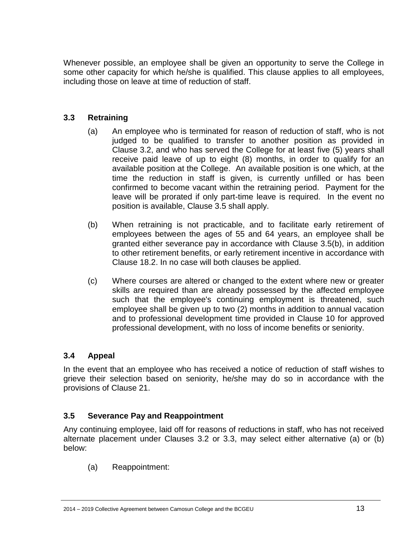Whenever possible, an employee shall be given an opportunity to serve the College in some other capacity for which he/she is qualified. This clause applies to all employees, including those on leave at time of reduction of staff.

## <span id="page-12-0"></span>**3.3 Retraining**

- (a) An employee who is terminated for reason of reduction of staff, who is not judged to be qualified to transfer to another position as provided in Clause 3.2, and who has served the College for at least five (5) years shall receive paid leave of up to eight (8) months, in order to qualify for an available position at the College. An available position is one which, at the time the reduction in staff is given, is currently unfilled or has been confirmed to become vacant within the retraining period. Payment for the leave will be prorated if only part-time leave is required. In the event no position is available, Clause 3.5 shall apply.
- (b) When retraining is not practicable, and to facilitate early retirement of employees between the ages of 55 and 64 years, an employee shall be granted either severance pay in accordance with Clause 3.5(b), in addition to other retirement benefits, or early retirement incentive in accordance with Clause 18.2. In no case will both clauses be applied.
- (c) Where courses are altered or changed to the extent where new or greater skills are required than are already possessed by the affected employee such that the employee's continuing employment is threatened, such employee shall be given up to two (2) months in addition to annual vacation and to professional development time provided in Clause 10 for approved professional development, with no loss of income benefits or seniority.

#### <span id="page-12-1"></span>**3.4 Appeal**

In the event that an employee who has received a notice of reduction of staff wishes to grieve their selection based on seniority, he/she may do so in accordance with the provisions of Clause 21.

## <span id="page-12-2"></span>**3.5 Severance Pay and Reappointment**

Any continuing employee, laid off for reasons of reductions in staff, who has not received alternate placement under Clauses 3.2 or 3.3, may select either alternative (a) or (b) below:

(a) Reappointment: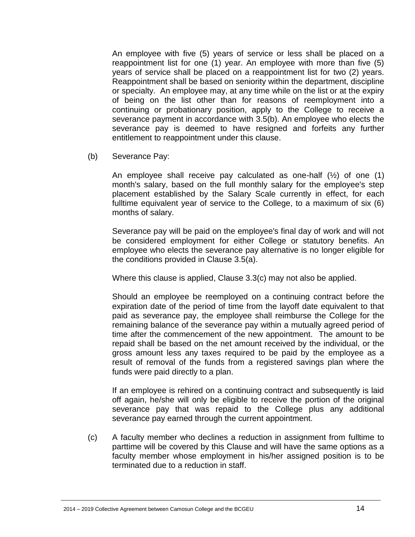An employee with five (5) years of service or less shall be placed on a reappointment list for one (1) year. An employee with more than five (5) years of service shall be placed on a reappointment list for two (2) years. Reappointment shall be based on seniority within the department, discipline or specialty. An employee may, at any time while on the list or at the expiry of being on the list other than for reasons of reemployment into a continuing or probationary position, apply to the College to receive a severance payment in accordance with 3.5(b). An employee who elects the severance pay is deemed to have resigned and forfeits any further entitlement to reappointment under this clause.

(b) Severance Pay:

An employee shall receive pay calculated as one-half  $(\frac{1}{2})$  of one (1) month's salary, based on the full monthly salary for the employee's step placement established by the Salary Scale currently in effect, for each fulltime equivalent year of service to the College, to a maximum of six (6) months of salary.

Severance pay will be paid on the employee's final day of work and will not be considered employment for either College or statutory benefits. An employee who elects the severance pay alternative is no longer eligible for the conditions provided in Clause 3.5(a).

Where this clause is applied, Clause 3.3(c) may not also be applied.

Should an employee be reemployed on a continuing contract before the expiration date of the period of time from the layoff date equivalent to that paid as severance pay, the employee shall reimburse the College for the remaining balance of the severance pay within a mutually agreed period of time after the commencement of the new appointment. The amount to be repaid shall be based on the net amount received by the individual, or the gross amount less any taxes required to be paid by the employee as a result of removal of the funds from a registered savings plan where the funds were paid directly to a plan.

If an employee is rehired on a continuing contract and subsequently is laid off again, he/she will only be eligible to receive the portion of the original severance pay that was repaid to the College plus any additional severance pay earned through the current appointment.

(c) A faculty member who declines a reduction in assignment from fulltime to parttime will be covered by this Clause and will have the same options as a faculty member whose employment in his/her assigned position is to be terminated due to a reduction in staff.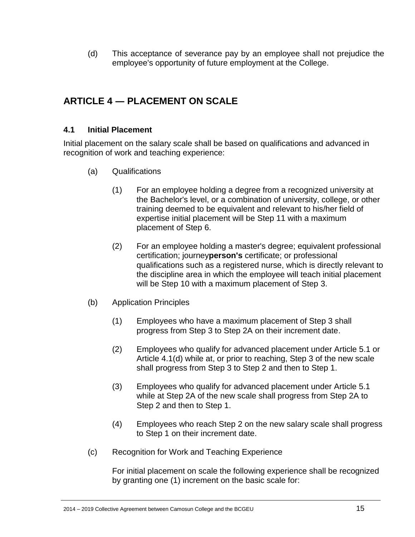(d) This acceptance of severance pay by an employee shall not prejudice the employee's opportunity of future employment at the College.

# <span id="page-14-0"></span>**ARTICLE 4 ― PLACEMENT ON SCALE**

## <span id="page-14-1"></span>**4.1 Initial Placement**

Initial placement on the salary scale shall be based on qualifications and advanced in recognition of work and teaching experience:

- (a) Qualifications
	- (1) For an employee holding a degree from a recognized university at the Bachelor's level, or a combination of university, college, or other training deemed to be equivalent and relevant to his/her field of expertise initial placement will be Step 11 with a maximum placement of Step 6.
	- (2) For an employee holding a master's degree; equivalent professional certification; journey**person's** certificate; or professional qualifications such as a registered nurse, which is directly relevant to the discipline area in which the employee will teach initial placement will be Step 10 with a maximum placement of Step 3.
- (b) Application Principles
	- (1) Employees who have a maximum placement of Step 3 shall progress from Step 3 to Step 2A on their increment date.
	- (2) Employees who qualify for advanced placement under Article 5.1 or Article 4.1(d) while at, or prior to reaching, Step 3 of the new scale shall progress from Step 3 to Step 2 and then to Step 1.
	- (3) Employees who qualify for advanced placement under Article 5.1 while at Step 2A of the new scale shall progress from Step 2A to Step 2 and then to Step 1.
	- (4) Employees who reach Step 2 on the new salary scale shall progress to Step 1 on their increment date.
- (c) Recognition for Work and Teaching Experience

For initial placement on scale the following experience shall be recognized by granting one (1) increment on the basic scale for: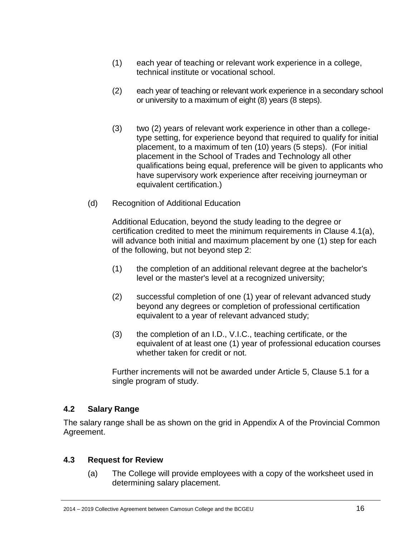- (1) each year of teaching or relevant work experience in a college, technical institute or vocational school.
- (2) each year of teaching or relevant work experience in a secondary school or university to a maximum of eight (8) years (8 steps).
- (3) two (2) years of relevant work experience in other than a collegetype setting, for experience beyond that required to qualify for initial placement, to a maximum of ten (10) years (5 steps). (For initial placement in the School of Trades and Technology all other qualifications being equal, preference will be given to applicants who have supervisory work experience after receiving journeyman or equivalent certification.)
- (d) Recognition of Additional Education

Additional Education, beyond the study leading to the degree or certification credited to meet the minimum requirements in Clause 4.1(a), will advance both initial and maximum placement by one (1) step for each of the following, but not beyond step 2:

- (1) the completion of an additional relevant degree at the bachelor's level or the master's level at a recognized university;
- (2) successful completion of one (1) year of relevant advanced study beyond any degrees or completion of professional certification equivalent to a year of relevant advanced study;
- (3) the completion of an I.D., V.I.C., teaching certificate, or the equivalent of at least one (1) year of professional education courses whether taken for credit or not.

Further increments will not be awarded under Article 5, Clause 5.1 for a single program of study.

## <span id="page-15-0"></span>**4.2 Salary Range**

The salary range shall be as shown on the grid in Appendix A of the Provincial Common Agreement.

## <span id="page-15-1"></span>**4.3 Request for Review**

(a) The College will provide employees with a copy of the worksheet used in determining salary placement.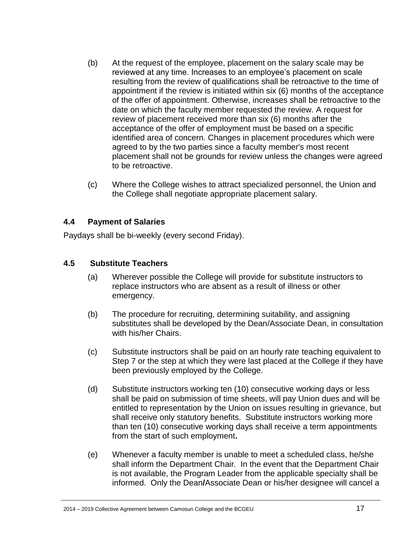- (b) At the request of the employee, placement on the salary scale may be reviewed at any time. Increases to an employee's placement on scale resulting from the review of qualifications shall be retroactive to the time of appointment if the review is initiated within six (6) months of the acceptance of the offer of appointment. Otherwise, increases shall be retroactive to the date on which the faculty member requested the review. A request for review of placement received more than six (6) months after the acceptance of the offer of employment must be based on a specific identified area of concern. Changes in placement procedures which were agreed to by the two parties since a faculty member's most recent placement shall not be grounds for review unless the changes were agreed to be retroactive.
- (c) Where the College wishes to attract specialized personnel, the Union and the College shall negotiate appropriate placement salary.

#### <span id="page-16-0"></span>**4.4 Payment of Salaries**

Paydays shall be bi-weekly (every second Friday).

#### <span id="page-16-1"></span>**4.5 Substitute Teachers**

- (a) Wherever possible the College will provide for substitute instructors to replace instructors who are absent as a result of illness or other emergency.
- (b) The procedure for recruiting, determining suitability, and assigning substitutes shall be developed by the Dean/Associate Dean, in consultation with his/her Chairs.
- (c) Substitute instructors shall be paid on an hourly rate teaching equivalent to Step 7 or the step at which they were last placed at the College if they have been previously employed by the College.
- (d) Substitute instructors working ten (10) consecutive working days or less shall be paid on submission of time sheets, will pay Union dues and will be entitled to representation by the Union on issues resulting in grievance, but shall receive only statutory benefits. Substitute instructors working more than ten (10) consecutive working days shall receive a term appointments from the start of such employment**.**
- (e) Whenever a faculty member is unable to meet a scheduled class, he/she shall inform the Department Chair. In the event that the Department Chair is not available, the Program Leader from the applicable specialty shall be informed.Only the Dean**/**Associate Dean or his/her designee will cancel a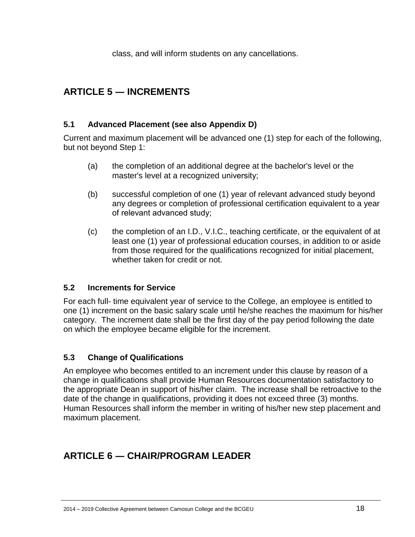class, and will inform students on any cancellations.

# <span id="page-17-0"></span>**ARTICLE 5 ― INCREMENTS**

## <span id="page-17-1"></span>**5.1 Advanced Placement (see also Appendix D)**

Current and maximum placement will be advanced one (1) step for each of the following, but not beyond Step 1:

- (a) the completion of an additional degree at the bachelor's level or the master's level at a recognized university;
- (b) successful completion of one (1) year of relevant advanced study beyond any degrees or completion of professional certification equivalent to a year of relevant advanced study;
- (c) the completion of an I.D., V.I.C., teaching certificate, or the equivalent of at least one (1) year of professional education courses, in addition to or aside from those required for the qualifications recognized for initial placement, whether taken for credit or not.

## <span id="page-17-2"></span>**5.2 Increments for Service**

For each full- time equivalent year of service to the College, an employee is entitled to one (1) increment on the basic salary scale until he/she reaches the maximum for his/her category. The increment date shall be the first day of the pay period following the date on which the employee became eligible for the increment.

# <span id="page-17-3"></span>**5.3 Change of Qualifications**

An employee who becomes entitled to an increment under this clause by reason of a change in qualifications shall provide Human Resources documentation satisfactory to the appropriate Dean in support of his/her claim. The increase shall be retroactive to the date of the change in qualifications, providing it does not exceed three (3) months. Human Resources shall inform the member in writing of his/her new step placement and maximum placement.

# <span id="page-17-4"></span>**ARTICLE 6 ― CHAIR/PROGRAM LEADER**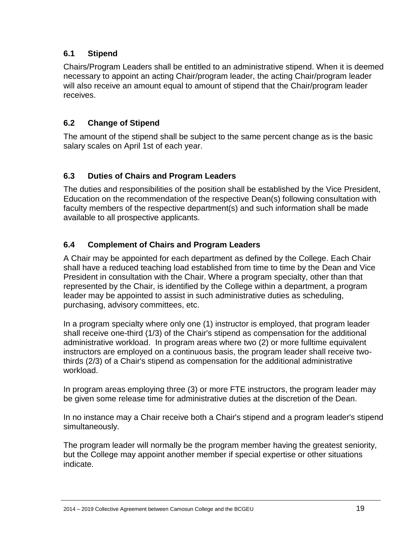# <span id="page-18-0"></span>**6.1 Stipend**

Chairs/Program Leaders shall be entitled to an administrative stipend. When it is deemed necessary to appoint an acting Chair/program leader, the acting Chair/program leader will also receive an amount equal to amount of stipend that the Chair/program leader receives.

# <span id="page-18-1"></span>**6.2 Change of Stipend**

The amount of the stipend shall be subject to the same percent change as is the basic salary scales on April 1st of each year.

# <span id="page-18-2"></span>**6.3 Duties of Chairs and Program Leaders**

The duties and responsibilities of the position shall be established by the Vice President, Education on the recommendation of the respective Dean(s) following consultation with faculty members of the respective department(s) and such information shall be made available to all prospective applicants.

## <span id="page-18-3"></span>**6.4 Complement of Chairs and Program Leaders**

A Chair may be appointed for each department as defined by the College. Each Chair shall have a reduced teaching load established from time to time by the Dean and Vice President in consultation with the Chair. Where a program specialty, other than that represented by the Chair, is identified by the College within a department, a program leader may be appointed to assist in such administrative duties as scheduling, purchasing, advisory committees, etc.

In a program specialty where only one (1) instructor is employed, that program leader shall receive one-third (1/3) of the Chair's stipend as compensation for the additional administrative workload. In program areas where two (2) or more fulltime equivalent instructors are employed on a continuous basis, the program leader shall receive twothirds (2/3) of a Chair's stipend as compensation for the additional administrative workload.

In program areas employing three (3) or more FTE instructors, the program leader may be given some release time for administrative duties at the discretion of the Dean.

In no instance may a Chair receive both a Chair's stipend and a program leader's stipend simultaneously.

The program leader will normally be the program member having the greatest seniority, but the College may appoint another member if special expertise or other situations indicate.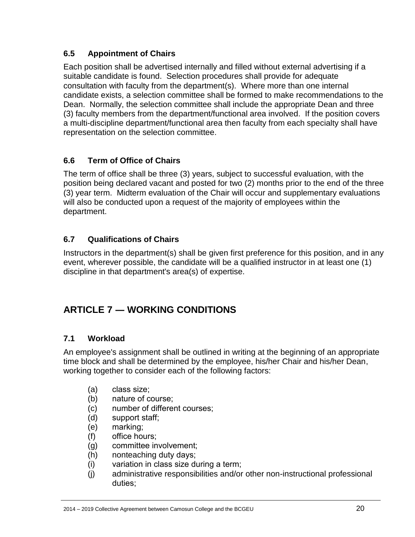# <span id="page-19-0"></span>**6.5 Appointment of Chairs**

Each position shall be advertised internally and filled without external advertising if a suitable candidate is found. Selection procedures shall provide for adequate consultation with faculty from the department(s). Where more than one internal candidate exists, a selection committee shall be formed to make recommendations to the Dean. Normally, the selection committee shall include the appropriate Dean and three (3) faculty members from the department/functional area involved. If the position covers a multi-discipline department/functional area then faculty from each specialty shall have representation on the selection committee.

# <span id="page-19-1"></span>**6.6 Term of Office of Chairs**

The term of office shall be three (3) years, subject to successful evaluation, with the position being declared vacant and posted for two (2) months prior to the end of the three (3) year term. Midterm evaluation of the Chair will occur and supplementary evaluations will also be conducted upon a request of the majority of employees within the department.

## <span id="page-19-2"></span>**6.7 Qualifications of Chairs**

Instructors in the department(s) shall be given first preference for this position, and in any event, wherever possible, the candidate will be a qualified instructor in at least one (1) discipline in that department's area(s) of expertise.

# <span id="page-19-3"></span>**ARTICLE 7 ― WORKING CONDITIONS**

## <span id="page-19-4"></span>**7.1 Workload**

An employee's assignment shall be outlined in writing at the beginning of an appropriate time block and shall be determined by the employee, his/her Chair and his/her Dean, working together to consider each of the following factors:

- (a) class size;
- (b) nature of course;
- (c) number of different courses;
- (d) support staff;
- (e) marking;
- (f) office hours;
- (g) committee involvement;
- (h) nonteaching duty days;
- (i) variation in class size during a term;
- (j) administrative responsibilities and/or other non-instructional professional duties;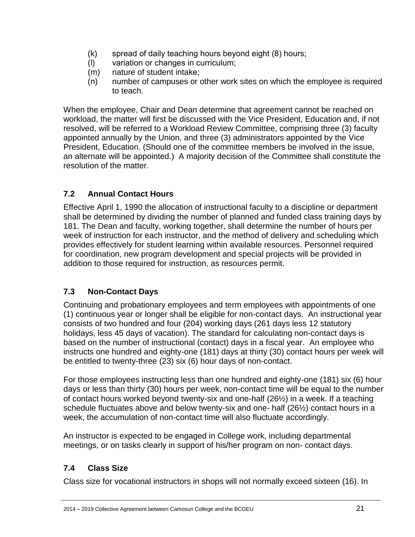- (k) spread of daily teaching hours beyond eight (8) hours;
- (l) variation or changes in curriculum;
- (m) nature of student intake;
- (n) number of campuses or other work sites on which the employee is required to teach.

When the employee, Chair and Dean determine that agreement cannot be reached on workload, the matter will first be discussed with the Vice President, Education and, if not resolved, will be referred to a Workload Review Committee, comprising three (3) faculty appointed annually by the Union, and three (3) administrators appointed by the Vice President, Education. (Should one of the committee members be involved in the issue, an alternate will be appointed.) A majority decision of the Committee shall constitute the resolution of the matter.

# <span id="page-20-0"></span>**7.2 Annual Contact Hours**

Effective April 1, 1990 the allocation of instructional faculty to a discipline or department shall be determined by dividing the number of planned and funded class training days by 181. The Dean and faculty, working together, shall determine the number of hours per week of instruction for each instructor, and the method of delivery and scheduling which provides effectively for student learning within available resources. Personnel required for coordination, new program development and special projects will be provided in addition to those required for instruction, as resources permit.

# <span id="page-20-1"></span>**7.3 Non-Contact Days**

Continuing and probationary employees and term employees with appointments of one (1) continuous year or longer shall be eligible for non-contact days. An instructional year consists of two hundred and four (204) working days (261 days less 12 statutory holidays, less 45 days of vacation). The standard for calculating non-contact days is based on the number of instructional (contact) days in a fiscal year. An employee who instructs one hundred and eighty-one (181) days at thirty (30) contact hours per week will be entitled to twenty-three (23) six (6) hour days of non-contact.

For those employees instructing less than one hundred and eighty-one (181) six (6) hour days or less than thirty (30) hours per week, non-contact time will be equal to the number of contact hours worked beyond twenty-six and one-half (26½) in a week. If a teaching schedule fluctuates above and below twenty-six and one- half (26½) contact hours in a week, the accumulation of non-contact time will also fluctuate accordingly.

An instructor is expected to be engaged in College work, including departmental meetings, or on tasks clearly in support of his/her program on non- contact days.

# <span id="page-20-2"></span>**7.4 Class Size**

Class size for vocational instructors in shops will not normally exceed sixteen (16). In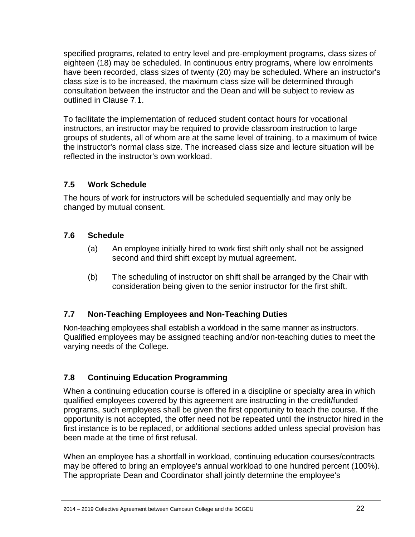specified programs, related to entry level and pre-employment programs, class sizes of eighteen (18) may be scheduled. In continuous entry programs, where low enrolments have been recorded, class sizes of twenty (20) may be scheduled. Where an instructor's class size is to be increased, the maximum class size will be determined through consultation between the instructor and the Dean and will be subject to review as outlined in Clause 7.1.

To facilitate the implementation of reduced student contact hours for vocational instructors, an instructor may be required to provide classroom instruction to large groups of students, all of whom are at the same level of training, to a maximum of twice the instructor's normal class size. The increased class size and lecture situation will be reflected in the instructor's own workload.

# <span id="page-21-0"></span>**7.5 Work Schedule**

The hours of work for instructors will be scheduled sequentially and may only be changed by mutual consent.

## <span id="page-21-1"></span>**7.6 Schedule**

- (a) An employee initially hired to work first shift only shall not be assigned second and third shift except by mutual agreement.
- (b) The scheduling of instructor on shift shall be arranged by the Chair with consideration being given to the senior instructor for the first shift.

# <span id="page-21-2"></span>**7.7 Non-Teaching Employees and Non-Teaching Duties**

Non-teaching employees shall establish a workload in the same manner as instructors. Qualified employees may be assigned teaching and/or non-teaching duties to meet the varying needs of the College.

# <span id="page-21-3"></span>**7.8 Continuing Education Programming**

When a continuing education course is offered in a discipline or specialty area in which qualified employees covered by this agreement are instructing in the credit/funded programs, such employees shall be given the first opportunity to teach the course. If the opportunity is not accepted, the offer need not be repeated until the instructor hired in the first instance is to be replaced, or additional sections added unless special provision has been made at the time of first refusal.

When an employee has a shortfall in workload, continuing education courses/contracts may be offered to bring an employee's annual workload to one hundred percent (100%). The appropriate Dean and Coordinator shall jointly determine the employee's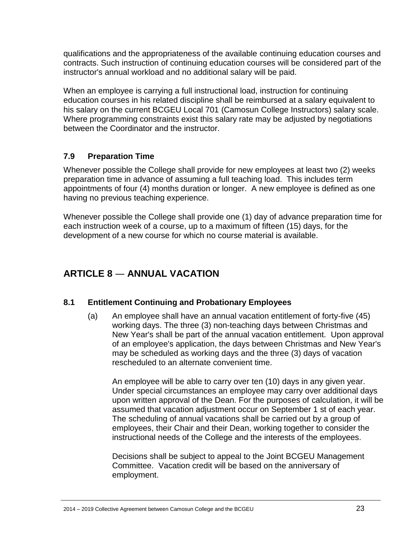qualifications and the appropriateness of the available continuing education courses and contracts. Such instruction of continuing education courses will be considered part of the instructor's annual workload and no additional salary will be paid.

When an employee is carrying a full instructional load, instruction for continuing education courses in his related discipline shall be reimbursed at a salary equivalent to his salary on the current BCGEU Local 701 (Camosun College Instructors) salary scale. Where programming constraints exist this salary rate may be adjusted by negotiations between the Coordinator and the instructor.

## <span id="page-22-0"></span>**7.9 Preparation Time**

Whenever possible the College shall provide for new employees at least two (2) weeks preparation time in advance of assuming a full teaching load. This includes term appointments of four (4) months duration or longer. A new employee is defined as one having no previous teaching experience.

Whenever possible the College shall provide one (1) day of advance preparation time for each instruction week of a course, up to a maximum of fifteen (15) days, for the development of a new course for which no course material is available.

# **ARTICLE 8** ― **ANNUAL VACATION**

## <span id="page-22-1"></span>**8.1 Entitlement Continuing and Probationary Employees**

(a) An employee shall have an annual vacation entitlement of forty-five (45) working days. The three (3) non-teaching days between Christmas and New Year's shall be part of the annual vacation entitlement. Upon approval of an employee's application, the days between Christmas and New Year's may be scheduled as working days and the three (3) days of vacation rescheduled to an alternate convenient time.

An employee will be able to carry over ten (10) days in any given year. Under special circumstances an employee may carry over additional days upon written approval of the Dean. For the purposes of calculation, it will be assumed that vacation adjustment occur on September 1 st of each year. The scheduling of annual vacations shall be carried out by a group of employees, their Chair and their Dean, working together to consider the instructional needs of the College and the interests of the employees.

Decisions shall be subject to appeal to the Joint BCGEU Management Committee. Vacation credit will be based on the anniversary of employment.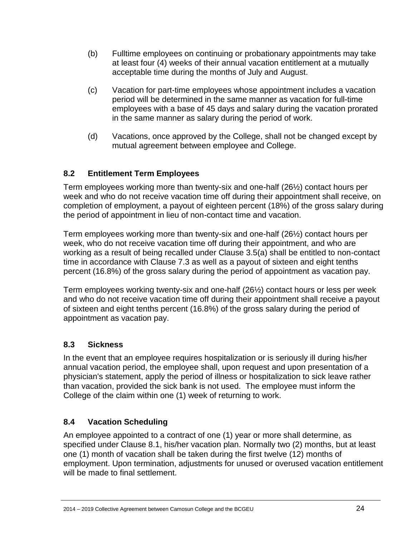- (b) Fulltime employees on continuing or probationary appointments may take at least four (4) weeks of their annual vacation entitlement at a mutually acceptable time during the months of July and August.
- (c) Vacation for part-time employees whose appointment includes a vacation period will be determined in the same manner as vacation for full-time employees with a base of 45 days and salary during the vacation prorated in the same manner as salary during the period of work.
- (d) Vacations, once approved by the College, shall not be changed except by mutual agreement between employee and College.

## <span id="page-23-0"></span>**8.2 Entitlement Term Employees**

Term employees working more than twenty-six and one-half (26½) contact hours per week and who do not receive vacation time off during their appointment shall receive, on completion of employment, a payout of eighteen percent (18%) of the gross salary during the period of appointment in lieu of non-contact time and vacation.

Term employees working more than twenty-six and one-half (26½) contact hours per week, who do not receive vacation time off during their appointment, and who are working as a result of being recalled under Clause 3.5(a) shall be entitled to non-contact time in accordance with Clause 7.3 as well as a payout of sixteen and eight tenths percent (16.8%) of the gross salary during the period of appointment as vacation pay.

Term employees working twenty-six and one-half (26½) contact hours or less per week and who do not receive vacation time off during their appointment shall receive a payout of sixteen and eight tenths percent (16.8%) of the gross salary during the period of appointment as vacation pay.

## <span id="page-23-1"></span>**8.3 Sickness**

In the event that an employee requires hospitalization or is seriously ill during his/her annual vacation period, the employee shall, upon request and upon presentation of a physician's statement, apply the period of illness or hospitalization to sick leave rather than vacation, provided the sick bank is not used. The employee must inform the College of the claim within one (1) week of returning to work.

# <span id="page-23-2"></span>**8.4 Vacation Scheduling**

An employee appointed to a contract of one (1) year or more shall determine, as specified under Clause 8.1, his/her vacation plan. Normally two (2) months, but at least one (1) month of vacation shall be taken during the first twelve (12) months of employment. Upon termination, adjustments for unused or overused vacation entitlement will be made to final settlement.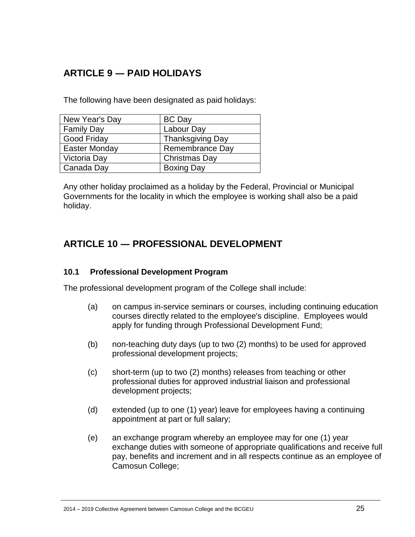# <span id="page-24-0"></span>**ARTICLE 9 ― PAID HOLIDAYS**

The following have been designated as paid holidays:

| New Year's Day       | <b>BC</b> Day           |
|----------------------|-------------------------|
| Family Day           | Labour Day              |
| <b>Good Friday</b>   | <b>Thanksgiving Day</b> |
| <b>Easter Monday</b> | Remembrance Day         |
| Victoria Day         | Christmas Day           |
| Canada Day           | <b>Boxing Day</b>       |

Any other holiday proclaimed as a holiday by the Federal, Provincial or Municipal Governments for the locality in which the employee is working shall also be a paid holiday.

# <span id="page-24-1"></span>**ARTICLE 10 ― PROFESSIONAL DEVELOPMENT**

#### <span id="page-24-2"></span>**10.1 Professional Development Program**

The professional development program of the College shall include:

- (a) on campus in-service seminars or courses, including continuing education courses directly related to the employee's discipline. Employees would apply for funding through Professional Development Fund;
- (b) non-teaching duty days (up to two (2) months) to be used for approved professional development projects;
- (c) short-term (up to two (2) months) releases from teaching or other professional duties for approved industrial liaison and professional development projects;
- (d) extended (up to one (1) year) leave for employees having a continuing appointment at part or full salary;
- (e) an exchange program whereby an employee may for one (1) year exchange duties with someone of appropriate qualifications and receive full pay, benefits and increment and in all respects continue as an employee of Camosun College;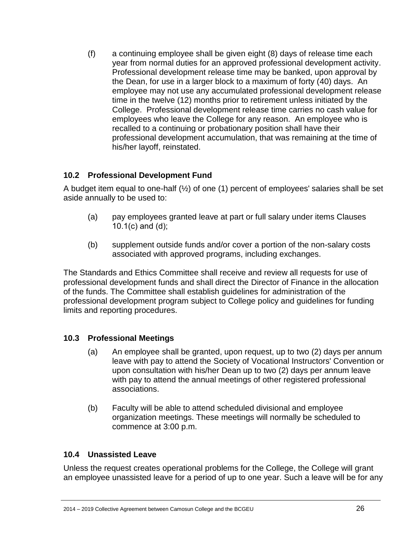(f) a continuing employee shall be given eight (8) days of release time each year from normal duties for an approved professional development activity. Professional development release time may be banked, upon approval by the Dean, for use in a larger block to a maximum of forty (40) days. An employee may not use any accumulated professional development release time in the twelve (12) months prior to retirement unless initiated by the College. Professional development release time carries no cash value for employees who leave the College for any reason. An employee who is recalled to a continuing or probationary position shall have their professional development accumulation, that was remaining at the time of his/her layoff, reinstated.

## <span id="page-25-0"></span>**10.2 Professional Development Fund**

A budget item equal to one-half  $(\frac{1}{2})$  of one (1) percent of employees' salaries shall be set aside annually to be used to:

- (a) pay employees granted leave at part or full salary under items Clauses 10.1(c) and (d);
- (b) supplement outside funds and/or cover a portion of the non-salary costs associated with approved programs, including exchanges.

The Standards and Ethics Committee shall receive and review all requests for use of professional development funds and shall direct the Director of Finance in the allocation of the funds. The Committee shall establish guidelines for administration of the professional development program subject to College policy and guidelines for funding limits and reporting procedures.

## <span id="page-25-1"></span>**10.3 Professional Meetings**

- (a) An employee shall be granted, upon request, up to two (2) days per annum leave with pay to attend the Society of Vocational Instructors' Convention or upon consultation with his/her Dean up to two (2) days per annum leave with pay to attend the annual meetings of other registered professional associations.
- (b) Faculty will be able to attend scheduled divisional and employee organization meetings. These meetings will normally be scheduled to commence at 3:00 p.m.

## <span id="page-25-2"></span>**10.4 Unassisted Leave**

Unless the request creates operational problems for the College, the College will grant an employee unassisted leave for a period of up to one year. Such a leave will be for any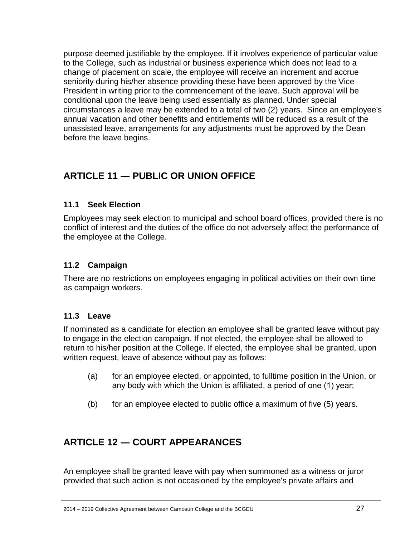purpose deemed justifiable by the employee. If it involves experience of particular value to the College, such as industrial or business experience which does not lead to a change of placement on scale, the employee will receive an increment and accrue seniority during his/her absence providing these have been approved by the Vice President in writing prior to the commencement of the leave. Such approval will be conditional upon the leave being used essentially as planned. Under special circumstances a leave may be extended to a total of two (2) years. Since an employee's annual vacation and other benefits and entitlements will be reduced as a result of the unassisted leave, arrangements for any adjustments must be approved by the Dean before the leave begins.

# <span id="page-26-0"></span>**ARTICLE 11 ― PUBLIC OR UNION OFFICE**

## <span id="page-26-1"></span>**11.1 Seek Election**

Employees may seek election to municipal and school board offices, provided there is no conflict of interest and the duties of the office do not adversely affect the performance of the employee at the College.

## <span id="page-26-2"></span>**11.2 Campaign**

There are no restrictions on employees engaging in political activities on their own time as campaign workers.

## <span id="page-26-3"></span>**11.3 Leave**

If nominated as a candidate for election an employee shall be granted leave without pay to engage in the election campaign. If not elected, the employee shall be allowed to return to his/her position at the College. If elected, the employee shall be granted, upon written request, leave of absence without pay as follows:

- (a) for an employee elected, or appointed, to fulltime position in the Union, or any body with which the Union is affiliated, a period of one (1) year;
- (b) for an employee elected to public office a maximum of five  $(5)$  years.

# <span id="page-26-4"></span>**ARTICLE 12 ― COURT APPEARANCES**

An employee shall be granted leave with pay when summoned as a witness or juror provided that such action is not occasioned by the employee's private affairs and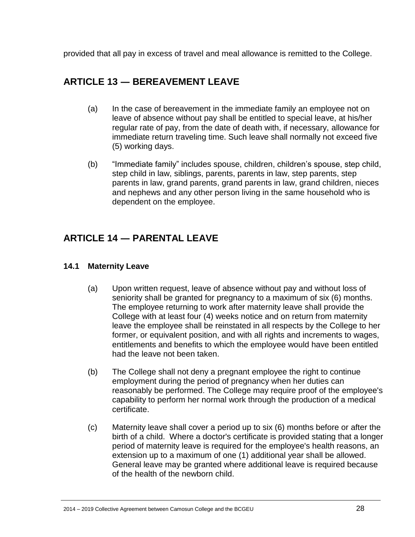provided that all pay in excess of travel and meal allowance is remitted to the College.

# <span id="page-27-0"></span>**ARTICLE 13 ― BEREAVEMENT LEAVE**

- (a) In the case of bereavement in the immediate family an employee not on leave of absence without pay shall be entitled to special leave, at his/her regular rate of pay, from the date of death with, if necessary, allowance for immediate return traveling time. Such leave shall normally not exceed five (5) working days.
- (b) "Immediate family" includes spouse, children, children's spouse, step child, step child in law, siblings, parents, parents in law, step parents, step parents in law, grand parents, grand parents in law, grand children, nieces and nephews and any other person living in the same household who is dependent on the employee.

# **ARTICLE 14 ― PARENTAL LEAVE**

## <span id="page-27-1"></span>**14.1 Maternity Leave**

- (a) Upon written request, leave of absence without pay and without loss of seniority shall be granted for pregnancy to a maximum of six (6) months. The employee returning to work after maternity leave shall provide the College with at least four (4) weeks notice and on return from maternity leave the employee shall be reinstated in all respects by the College to her former, or equivalent position, and with all rights and increments to wages, entitlements and benefits to which the employee would have been entitled had the leave not been taken.
- (b) The College shall not deny a pregnant employee the right to continue employment during the period of pregnancy when her duties can reasonably be performed. The College may require proof of the employee's capability to perform her normal work through the production of a medical certificate.
- (c) Maternity leave shall cover a period up to six (6) months before or after the birth of a child. Where a doctor's certificate is provided stating that a longer period of maternity leave is required for the employee's health reasons, an extension up to a maximum of one (1) additional year shall be allowed. General leave may be granted where additional leave is required because of the health of the newborn child.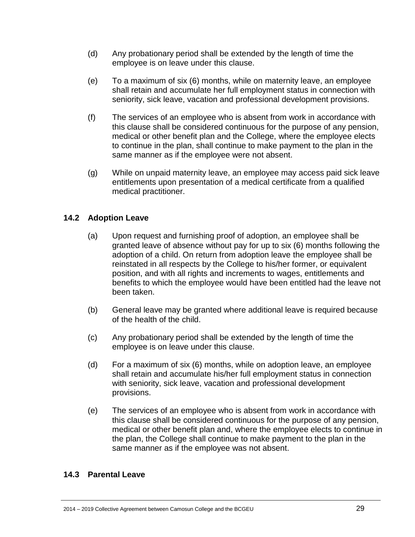- (d) Any probationary period shall be extended by the length of time the employee is on leave under this clause.
- (e) To a maximum of six (6) months, while on maternity leave, an employee shall retain and accumulate her full employment status in connection with seniority, sick leave, vacation and professional development provisions.
- (f) The services of an employee who is absent from work in accordance with this clause shall be considered continuous for the purpose of any pension, medical or other benefit plan and the College, where the employee elects to continue in the plan, shall continue to make payment to the plan in the same manner as if the employee were not absent.
- (g) While on unpaid maternity leave, an employee may access paid sick leave entitlements upon presentation of a medical certificate from a qualified medical practitioner.

## <span id="page-28-0"></span>**14.2 Adoption Leave**

- (a) Upon request and furnishing proof of adoption, an employee shall be granted leave of absence without pay for up to six (6) months following the adoption of a child. On return from adoption leave the employee shall be reinstated in all respects by the College to his/her former, or equivalent position, and with all rights and increments to wages, entitlements and benefits to which the employee would have been entitled had the leave not been taken.
- (b) General leave may be granted where additional leave is required because of the health of the child.
- (c) Any probationary period shall be extended by the length of time the employee is on leave under this clause.
- (d) For a maximum of six (6) months, while on adoption leave, an employee shall retain and accumulate his/her full employment status in connection with seniority, sick leave, vacation and professional development provisions.
- (e) The services of an employee who is absent from work in accordance with this clause shall be considered continuous for the purpose of any pension, medical or other benefit plan and, where the employee elects to continue in the plan, the College shall continue to make payment to the plan in the same manner as if the employee was not absent.

#### <span id="page-28-1"></span>**14.3 Parental Leave**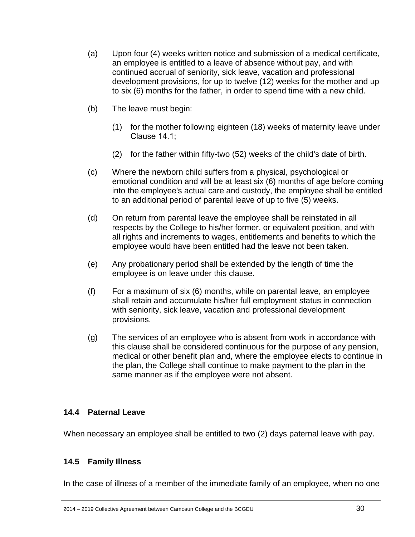- (a) Upon four (4) weeks written notice and submission of a medical certificate, an employee is entitled to a leave of absence without pay, and with continued accrual of seniority, sick leave, vacation and professional development provisions, for up to twelve (12) weeks for the mother and up to six (6) months for the father, in order to spend time with a new child.
- (b) The leave must begin:
	- (1) for the mother following eighteen (18) weeks of maternity leave under Clause 14.1;
	- (2) for the father within fifty-two (52) weeks of the child's date of birth.
- (c) Where the newborn child suffers from a physical, psychological or emotional condition and will be at least six (6) months of age before coming into the employee's actual care and custody, the employee shall be entitled to an additional period of parental leave of up to five (5) weeks.
- (d) On return from parental leave the employee shall be reinstated in all respects by the College to his/her former, or equivalent position, and with all rights and increments to wages, entitlements and benefits to which the employee would have been entitled had the leave not been taken.
- (e) Any probationary period shall be extended by the length of time the employee is on leave under this clause.
- (f) For a maximum of six (6) months, while on parental leave, an employee shall retain and accumulate his/her full employment status in connection with seniority, sick leave, vacation and professional development provisions.
- (g) The services of an employee who is absent from work in accordance with this clause shall be considered continuous for the purpose of any pension, medical or other benefit plan and, where the employee elects to continue in the plan, the College shall continue to make payment to the plan in the same manner as if the employee were not absent.

#### <span id="page-29-0"></span>**14.4 Paternal Leave**

When necessary an employee shall be entitled to two (2) days paternal leave with pay.

#### <span id="page-29-1"></span>**14.5 Family Illness**

In the case of illness of a member of the immediate family of an employee, when no one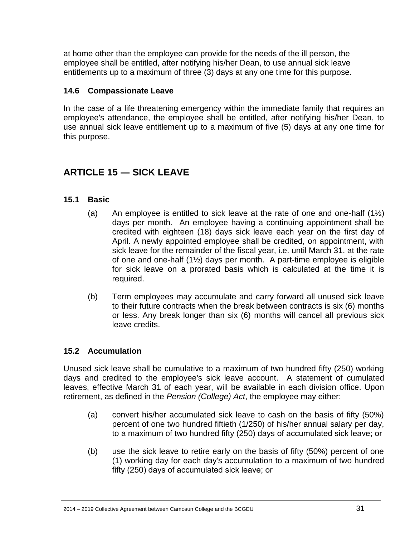at home other than the employee can provide for the needs of the ill person, the employee shall be entitled, after notifying his/her Dean, to use annual sick leave entitlements up to a maximum of three (3) days at any one time for this purpose.

## <span id="page-30-0"></span>**14.6 Compassionate Leave**

In the case of a life threatening emergency within the immediate family that requires an employee's attendance, the employee shall be entitled, after notifying his/her Dean, to use annual sick leave entitlement up to a maximum of five (5) days at any one time for this purpose.

# <span id="page-30-1"></span>**ARTICLE 15 ― SICK LEAVE**

## <span id="page-30-2"></span>**15.1 Basic**

- (a) An employee is entitled to sick leave at the rate of one and one-half  $(1\frac{1}{2})$ days per month. An employee having a continuing appointment shall be credited with eighteen (18) days sick leave each year on the first day of April. A newly appointed employee shall be credited, on appointment, with sick leave for the remainder of the fiscal year, i.e. until March 31, at the rate of one and one-half (1½) days per month. A part-time employee is eligible for sick leave on a prorated basis which is calculated at the time it is required.
- (b) Term employees may accumulate and carry forward all unused sick leave to their future contracts when the break between contracts is six (6) months or less. Any break longer than six (6) months will cancel all previous sick leave credits.

## <span id="page-30-3"></span>**15.2 Accumulation**

Unused sick leave shall be cumulative to a maximum of two hundred fifty (250) working days and credited to the employee's sick leave account. A statement of cumulated leaves, effective March 31 of each year, will be available in each division office. Upon retirement, as defined in the *Pension (College) Act*, the employee may either:

- (a) convert his/her accumulated sick leave to cash on the basis of fifty (50%) percent of one two hundred fiftieth (1/250) of his/her annual salary per day, to a maximum of two hundred fifty (250) days of accumulated sick leave; or
- (b) use the sick leave to retire early on the basis of fifty (50%) percent of one (1) working day for each day's accumulation to a maximum of two hundred fifty (250) days of accumulated sick leave; or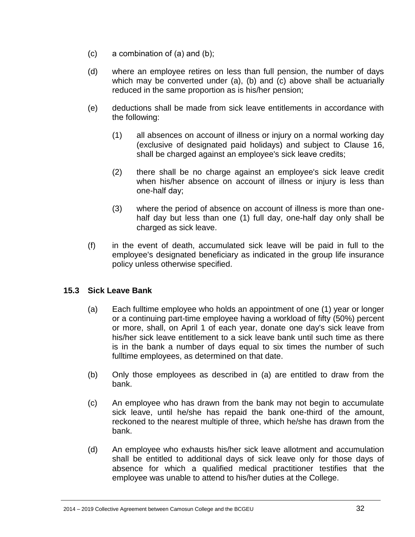- (c) a combination of (a) and (b);
- (d) where an employee retires on less than full pension, the number of days which may be converted under (a), (b) and (c) above shall be actuarially reduced in the same proportion as is his/her pension;
- (e) deductions shall be made from sick leave entitlements in accordance with the following:
	- (1) all absences on account of illness or injury on a normal working day (exclusive of designated paid holidays) and subject to Clause 16, shall be charged against an employee's sick leave credits;
	- (2) there shall be no charge against an employee's sick leave credit when his/her absence on account of illness or injury is less than one-half day;
	- (3) where the period of absence on account of illness is more than onehalf day but less than one (1) full day, one-half day only shall be charged as sick leave.
- (f) in the event of death, accumulated sick leave will be paid in full to the employee's designated beneficiary as indicated in the group life insurance policy unless otherwise specified.

## <span id="page-31-0"></span>**15.3 Sick Leave Bank**

- (a) Each fulltime employee who holds an appointment of one (1) year or longer or a continuing part-time employee having a workload of fifty (50%) percent or more, shall, on April 1 of each year, donate one day's sick leave from his/her sick leave entitlement to a sick leave bank until such time as there is in the bank a number of days equal to six times the number of such fulltime employees, as determined on that date.
- (b) Only those employees as described in (a) are entitled to draw from the bank.
- (c) An employee who has drawn from the bank may not begin to accumulate sick leave, until he/she has repaid the bank one-third of the amount, reckoned to the nearest multiple of three, which he/she has drawn from the bank.
- (d) An employee who exhausts his/her sick leave allotment and accumulation shall be entitled to additional days of sick leave only for those days of absence for which a qualified medical practitioner testifies that the employee was unable to attend to his/her duties at the College.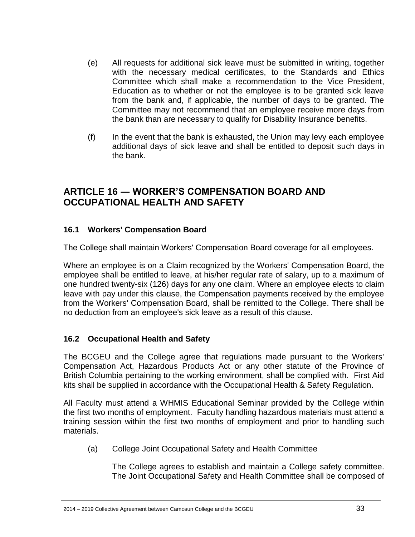- (e) All requests for additional sick leave must be submitted in writing, together with the necessary medical certificates, to the Standards and Ethics Committee which shall make a recommendation to the Vice President, Education as to whether or not the employee is to be granted sick leave from the bank and, if applicable, the number of days to be granted. The Committee may not recommend that an employee receive more days from the bank than are necessary to qualify for Disability Insurance benefits.
- (f) In the event that the bank is exhausted, the Union may levy each employee additional days of sick leave and shall be entitled to deposit such days in the bank.

# <span id="page-32-0"></span>**ARTICLE 16 ― WORKER'S COMPENSATION BOARD AND OCCUPATIONAL HEALTH AND SAFETY**

## <span id="page-32-1"></span>**16.1 Workers' Compensation Board**

The College shall maintain Workers' Compensation Board coverage for all employees.

Where an employee is on a Claim recognized by the Workers' Compensation Board, the employee shall be entitled to leave, at his/her regular rate of salary, up to a maximum of one hundred twenty-six (126) days for any one claim. Where an employee elects to claim leave with pay under this clause, the Compensation payments received by the employee from the Workers' Compensation Board, shall be remitted to the College. There shall be no deduction from an employee's sick leave as a result of this clause.

# <span id="page-32-2"></span>**16.2 Occupational Health and Safety**

The BCGEU and the College agree that regulations made pursuant to the Workers' Compensation Act, Hazardous Products Act or any other statute of the Province of British Columbia pertaining to the working environment, shall be complied with. First Aid kits shall be supplied in accordance with the Occupational Health & Safety Regulation.

All Faculty must attend a WHMIS Educational Seminar provided by the College within the first two months of employment. Faculty handling hazardous materials must attend a training session within the first two months of employment and prior to handling such materials.

(a) College Joint Occupational Safety and Health Committee

The College agrees to establish and maintain a College safety committee. The Joint Occupational Safety and Health Committee shall be composed of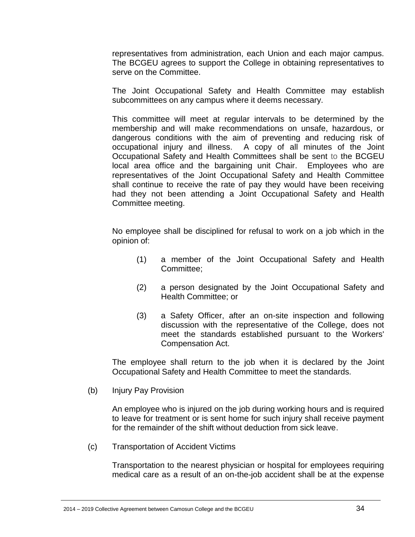representatives from administration, each Union and each major campus. The BCGEU agrees to support the College in obtaining representatives to serve on the Committee.

The Joint Occupational Safety and Health Committee may establish subcommittees on any campus where it deems necessary.

This committee will meet at regular intervals to be determined by the membership and will make recommendations on unsafe, hazardous, or dangerous conditions with the aim of preventing and reducing risk of occupational injury and illness. A copy of all minutes of the Joint Occupational Safety and Health Committees shall be sent to the BCGEU local area office and the bargaining unit Chair. Employees who are representatives of the Joint Occupational Safety and Health Committee shall continue to receive the rate of pay they would have been receiving had they not been attending a Joint Occupational Safety and Health Committee meeting.

No employee shall be disciplined for refusal to work on a job which in the opinion of:

- (1) a member of the Joint Occupational Safety and Health Committee;
- (2) a person designated by the Joint Occupational Safety and Health Committee; or
- (3) a Safety Officer, after an on-site inspection and following discussion with the representative of the College, does not meet the standards established pursuant to the Workers' Compensation Act.

The employee shall return to the job when it is declared by the Joint Occupational Safety and Health Committee to meet the standards.

(b) Injury Pay Provision

An employee who is injured on the job during working hours and is required to leave for treatment or is sent home for such injury shall receive payment for the remainder of the shift without deduction from sick leave.

(c) Transportation of Accident Victims

Transportation to the nearest physician or hospital for employees requiring medical care as a result of an on-the-job accident shall be at the expense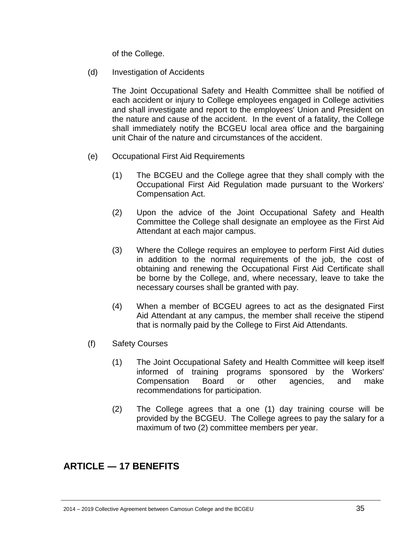of the College.

(d) Investigation of Accidents

The Joint Occupational Safety and Health Committee shall be notified of each accident or injury to College employees engaged in College activities and shall investigate and report to the employees' Union and President on the nature and cause of the accident. In the event of a fatality, the College shall immediately notify the BCGEU local area office and the bargaining unit Chair of the nature and circumstances of the accident.

- (e) Occupational First Aid Requirements
	- (1) The BCGEU and the College agree that they shall comply with the Occupational First Aid Regulation made pursuant to the Workers' Compensation Act.
	- (2) Upon the advice of the Joint Occupational Safety and Health Committee the College shall designate an employee as the First Aid Attendant at each major campus.
	- (3) Where the College requires an employee to perform First Aid duties in addition to the normal requirements of the job, the cost of obtaining and renewing the Occupational First Aid Certificate shall be borne by the College, and, where necessary, leave to take the necessary courses shall be granted with pay.
	- (4) When a member of BCGEU agrees to act as the designated First Aid Attendant at any campus, the member shall receive the stipend that is normally paid by the College to First Aid Attendants.
- (f) Safety Courses
	- (1) The Joint Occupational Safety and Health Committee will keep itself informed of training programs sponsored by the Workers' Compensation Board or other agencies, and make recommendations for participation.
	- (2) The College agrees that a one (1) day training course will be provided by the BCGEU. The College agrees to pay the salary for a maximum of two (2) committee members per year.

# <span id="page-34-0"></span>**ARTICLE ― 17 BENEFITS**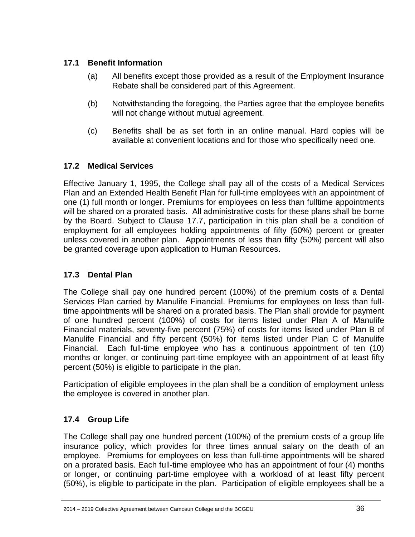# <span id="page-35-0"></span>**17.1 Benefit Information**

- (a) All benefits except those provided as a result of the Employment Insurance Rebate shall be considered part of this Agreement.
- (b) Notwithstanding the foregoing, the Parties agree that the employee benefits will not change without mutual agreement.
- (c) Benefits shall be as set forth in an online manual. Hard copies will be available at convenient locations and for those who specifically need one.

# <span id="page-35-1"></span>**17.2 Medical Services**

Effective January 1, 1995, the College shall pay all of the costs of a Medical Services Plan and an Extended Health Benefit Plan for full-time employees with an appointment of one (1) full month or longer. Premiums for employees on less than fulltime appointments will be shared on a prorated basis. All administrative costs for these plans shall be borne by the Board. Subject to Clause 17.7, participation in this plan shall be a condition of employment for all employees holding appointments of fifty (50%) percent or greater unless covered in another plan. Appointments of less than fifty (50%) percent will also be granted coverage upon application to Human Resources.

## <span id="page-35-2"></span>**17.3 Dental Plan**

The College shall pay one hundred percent (100%) of the premium costs of a Dental Services Plan carried by Manulife Financial. Premiums for employees on less than fulltime appointments will be shared on a prorated basis. The Plan shall provide for payment of one hundred percent (100%) of costs for items listed under Plan A of Manulife Financial materials, seventy-five percent (75%) of costs for items listed under Plan B of Manulife Financial and fifty percent (50%) for items listed under Plan C of Manulife Financial. Each full-time employee who has a continuous appointment of ten (10) months or longer, or continuing part-time employee with an appointment of at least fifty percent (50%) is eligible to participate in the plan.

Participation of eligible employees in the plan shall be a condition of employment unless the employee is covered in another plan.

# <span id="page-35-3"></span>**17.4 Group Life**

The College shall pay one hundred percent (100%) of the premium costs of a group life insurance policy, which provides for three times annual salary on the death of an employee. Premiums for employees on less than full-time appointments will be shared on a prorated basis. Each full-time employee who has an appointment of four (4) months or longer, or continuing part-time employee with a workload of at least fifty percent (50%), is eligible to participate in the plan. Participation of eligible employees shall be a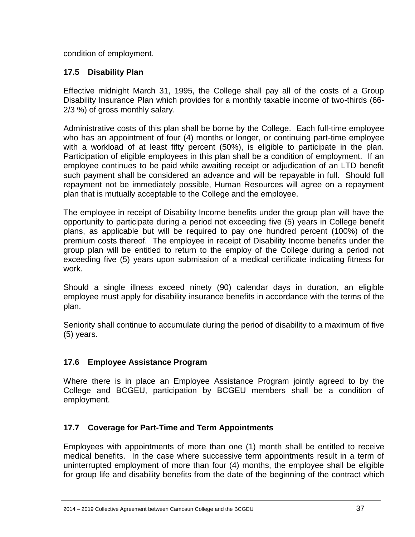condition of employment.

# <span id="page-36-0"></span>**17.5 Disability Plan**

Effective midnight March 31, 1995, the College shall pay all of the costs of a Group Disability Insurance Plan which provides for a monthly taxable income of two-thirds (66- 2/3 %) of gross monthly salary.

Administrative costs of this plan shall be borne by the College. Each full-time employee who has an appointment of four (4) months or longer, or continuing part-time employee with a workload of at least fifty percent (50%), is eligible to participate in the plan. Participation of eligible employees in this plan shall be a condition of employment. If an employee continues to be paid while awaiting receipt or adjudication of an LTD benefit such payment shall be considered an advance and will be repayable in full. Should full repayment not be immediately possible, Human Resources will agree on a repayment plan that is mutually acceptable to the College and the employee.

The employee in receipt of Disability Income benefits under the group plan will have the opportunity to participate during a period not exceeding five (5) years in College benefit plans, as applicable but will be required to pay one hundred percent (100%) of the premium costs thereof. The employee in receipt of Disability Income benefits under the group plan will be entitled to return to the employ of the College during a period not exceeding five (5) years upon submission of a medical certificate indicating fitness for work.

Should a single illness exceed ninety (90) calendar days in duration, an eligible employee must apply for disability insurance benefits in accordance with the terms of the plan.

Seniority shall continue to accumulate during the period of disability to a maximum of five (5) years.

# <span id="page-36-1"></span>**17.6 Employee Assistance Program**

Where there is in place an Employee Assistance Program jointly agreed to by the College and BCGEU, participation by BCGEU members shall be a condition of employment.

# <span id="page-36-2"></span>**17.7 Coverage for Part-Time and Term Appointments**

Employees with appointments of more than one (1) month shall be entitled to receive medical benefits. In the case where successive term appointments result in a term of uninterrupted employment of more than four (4) months, the employee shall be eligible for group life and disability benefits from the date of the beginning of the contract which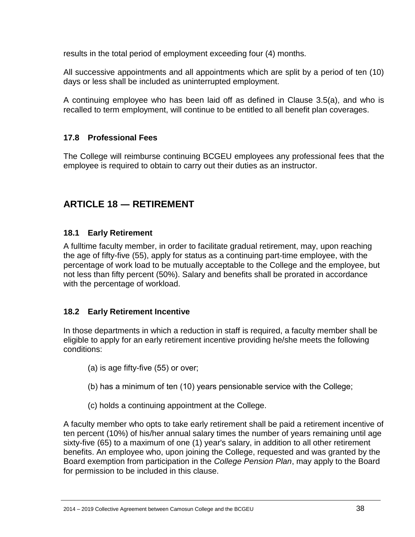results in the total period of employment exceeding four (4) months.

All successive appointments and all appointments which are split by a period of ten (10) days or less shall be included as uninterrupted employment.

A continuing employee who has been laid off as defined in Clause 3.5(a), and who is recalled to term employment, will continue to be entitled to all benefit plan coverages.

# <span id="page-37-0"></span>**17.8 Professional Fees**

The College will reimburse continuing BCGEU employees any professional fees that the employee is required to obtain to carry out their duties as an instructor.

# <span id="page-37-1"></span>**ARTICLE 18 ― RETIREMENT**

## <span id="page-37-2"></span>**18.1 Early Retirement**

A fulltime faculty member, in order to facilitate gradual retirement, may, upon reaching the age of fifty-five (55), apply for status as a continuing part-time employee, with the percentage of work load to be mutually acceptable to the College and the employee, but not less than fifty percent (50%). Salary and benefits shall be prorated in accordance with the percentage of workload.

## <span id="page-37-3"></span>**18.2 Early Retirement Incentive**

In those departments in which a reduction in staff is required, a faculty member shall be eligible to apply for an early retirement incentive providing he/she meets the following conditions:

- (a) is age fifty-five (55) or over;
- (b) has a minimum of ten (10) years pensionable service with the College;
- (c) holds a continuing appointment at the College.

A faculty member who opts to take early retirement shall be paid a retirement incentive of ten percent (10%) of his/her annual salary times the number of years remaining until age sixty-five (65) to a maximum of one (1) year's salary, in addition to all other retirement benefits. An employee who, upon joining the College, requested and was granted by the Board exemption from participation in the *College Pension Plan*, may apply to the Board for permission to be included in this clause.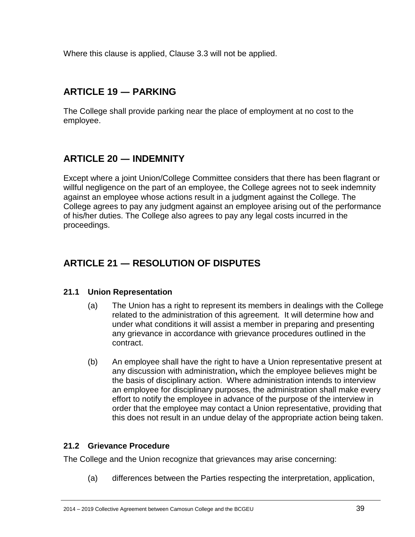Where this clause is applied, Clause 3.3 will not be applied.

# <span id="page-38-0"></span>**ARTICLE 19 ― PARKING**

The College shall provide parking near the place of employment at no cost to the employee.

# <span id="page-38-1"></span>**ARTICLE 20 ― INDEMNITY**

Except where a joint Union/College Committee considers that there has been flagrant or willful negligence on the part of an employee, the College agrees not to seek indemnity against an employee whose actions result in a judgment against the College. The College agrees to pay any judgment against an employee arising out of the performance of his/her duties. The College also agrees to pay any legal costs incurred in the proceedings.

# <span id="page-38-2"></span>**ARTICLE 21 ― RESOLUTION OF DISPUTES**

## <span id="page-38-3"></span>**21.1 Union Representation**

- (a) The Union has a right to represent its members in dealings with the College related to the administration of this agreement. It will determine how and under what conditions it will assist a member in preparing and presenting any grievance in accordance with grievance procedures outlined in the contract.
- (b) An employee shall have the right to have a Union representative present at any discussion with administration**,** which the employee believes might be the basis of disciplinary action. Where administration intends to interview an employee for disciplinary purposes, the administration shall make every effort to notify the employee in advance of the purpose of the interview in order that the employee may contact a Union representative, providing that this does not result in an undue delay of the appropriate action being taken.

## <span id="page-38-4"></span>**21.2 Grievance Procedure**

The College and the Union recognize that grievances may arise concerning:

(a) differences between the Parties respecting the interpretation, application,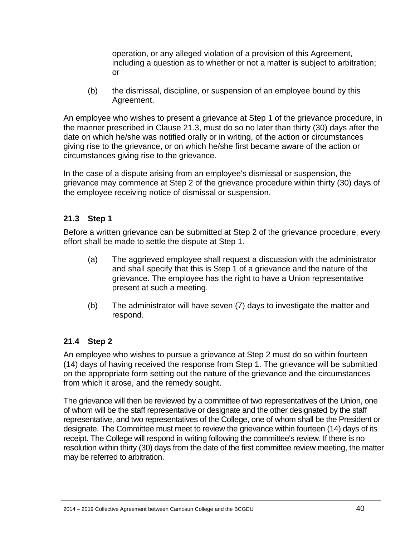operation, or any alleged violation of a provision of this Agreement, including a question as to whether or not a matter is subject to arbitration; or

(b) the dismissal, discipline, or suspension of an employee bound by this Agreement.

An employee who wishes to present a grievance at Step 1 of the grievance procedure, in the manner prescribed in Clause 21.3, must do so no later than thirty (30) days after the date on which he/she was notified orally or in writing, of the action or circumstances giving rise to the grievance, or on which he/she first became aware of the action or circumstances giving rise to the grievance.

In the case of a dispute arising from an employee's dismissal or suspension, the grievance may commence at Step 2 of the grievance procedure within thirty (30) days of the employee receiving notice of dismissal or suspension.

## <span id="page-39-0"></span>**21.3 Step 1**

Before a written grievance can be submitted at Step 2 of the grievance procedure, every effort shall be made to settle the dispute at Step 1.

- (a) The aggrieved employee shall request a discussion with the administrator and shall specify that this is Step 1 of a grievance and the nature of the grievance. The employee has the right to have a Union representative present at such a meeting.
- (b) The administrator will have seven (7) days to investigate the matter and respond.

# <span id="page-39-1"></span>**21.4 Step 2**

An employee who wishes to pursue a grievance at Step 2 must do so within fourteen (14) days of having received the response from Step 1. The grievance will be submitted on the appropriate form setting out the nature of the grievance and the circumstances from which it arose, and the remedy sought.

The grievance will then be reviewed by a committee of two representatives of the Union, one of whom will be the staff representative or designate and the other designated by the staff representative, and two representatives of the College, one of whom shall be the President or designate. The Committee must meet to review the grievance within fourteen (14) days of its receipt. The College will respond in writing following the committee's review. If there is no resolution within thirty (30) days from the date of the first committee review meeting, the matter may be referred to arbitration.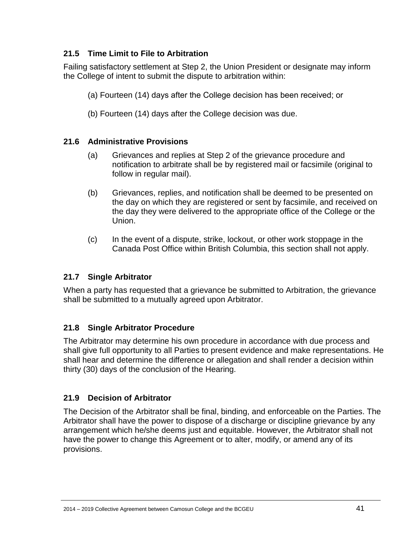# <span id="page-40-0"></span>**21.5 Time Limit to File to Arbitration**

Failing satisfactory settlement at Step 2, the Union President or designate may inform the College of intent to submit the dispute to arbitration within:

(a) Fourteen (14) days after the College decision has been received; or

(b) Fourteen (14) days after the College decision was due.

# <span id="page-40-1"></span>**21.6 Administrative Provisions**

- (a) Grievances and replies at Step 2 of the grievance procedure and notification to arbitrate shall be by registered mail or facsimile (original to follow in regular mail).
- (b) Grievances, replies, and notification shall be deemed to be presented on the day on which they are registered or sent by facsimile, and received on the day they were delivered to the appropriate office of the College or the Union.
- (c) In the event of a dispute, strike, lockout, or other work stoppage in the Canada Post Office within British Columbia, this section shall not apply.

# <span id="page-40-2"></span>**21.7 Single Arbitrator**

When a party has requested that a grievance be submitted to Arbitration, the grievance shall be submitted to a mutually agreed upon Arbitrator.

# <span id="page-40-3"></span>**21.8 Single Arbitrator Procedure**

The Arbitrator may determine his own procedure in accordance with due process and shall give full opportunity to all Parties to present evidence and make representations. He shall hear and determine the difference or allegation and shall render a decision within thirty (30) days of the conclusion of the Hearing.

# <span id="page-40-4"></span>**21.9 Decision of Arbitrator**

The Decision of the Arbitrator shall be final, binding, and enforceable on the Parties. The Arbitrator shall have the power to dispose of a discharge or discipline grievance by any arrangement which he/she deems just and equitable. However, the Arbitrator shall not have the power to change this Agreement or to alter, modify, or amend any of its provisions.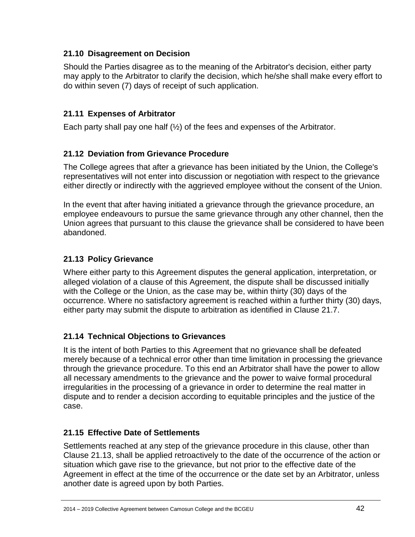## <span id="page-41-0"></span>**21.10 Disagreement on Decision**

Should the Parties disagree as to the meaning of the Arbitrator's decision, either party may apply to the Arbitrator to clarify the decision, which he/she shall make every effort to do within seven (7) days of receipt of such application.

# <span id="page-41-1"></span>**21.11 Expenses of Arbitrator**

Each party shall pay one half  $(\frac{1}{2})$  of the fees and expenses of the Arbitrator.

## <span id="page-41-2"></span>**21.12 Deviation from Grievance Procedure**

The College agrees that after a grievance has been initiated by the Union, the College's representatives will not enter into discussion or negotiation with respect to the grievance either directly or indirectly with the aggrieved employee without the consent of the Union.

In the event that after having initiated a grievance through the grievance procedure, an employee endeavours to pursue the same grievance through any other channel, then the Union agrees that pursuant to this clause the grievance shall be considered to have been abandoned.

## <span id="page-41-3"></span>**21.13 Policy Grievance**

Where either party to this Agreement disputes the general application, interpretation, or alleged violation of a clause of this Agreement, the dispute shall be discussed initially with the College or the Union, as the case may be, within thirty (30) days of the occurrence. Where no satisfactory agreement is reached within a further thirty (30) days, either party may submit the dispute to arbitration as identified in Clause 21.7.

## <span id="page-41-4"></span>**21.14 Technical Objections to Grievances**

It is the intent of both Parties to this Agreement that no grievance shall be defeated merely because of a technical error other than time limitation in processing the grievance through the grievance procedure. To this end an Arbitrator shall have the power to allow all necessary amendments to the grievance and the power to waive formal procedural irregularities in the processing of a grievance in order to determine the real matter in dispute and to render a decision according to equitable principles and the justice of the case.

## <span id="page-41-5"></span>**21.15 Effective Date of Settlements**

Settlements reached at any step of the grievance procedure in this clause, other than Clause 21.13, shall be applied retroactively to the date of the occurrence of the action or situation which gave rise to the grievance, but not prior to the effective date of the Agreement in effect at the time of the occurrence or the date set by an Arbitrator, unless another date is agreed upon by both Parties.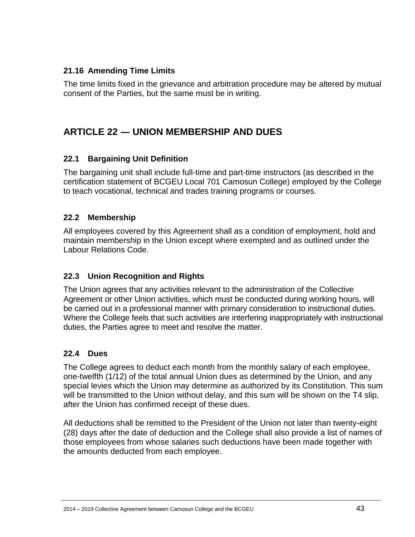## <span id="page-42-0"></span>**21.16 Amending Time Limits**

The time limits fixed in the grievance and arbitration procedure may be altered by mutual consent of the Parties, but the same must be in writing.

# <span id="page-42-1"></span>**ARTICLE 22 ― UNION MEMBERSHIP AND DUES**

## <span id="page-42-2"></span>**22.1 Bargaining Unit Definition**

The bargaining unit shall include full-time and part-time instructors (as described in the certification statement of BCGEU Local 701 Camosun College) employed by the College to teach vocational, technical and trades training programs or courses.

## <span id="page-42-3"></span>**22.2 Membership**

All employees covered by this Agreement shall as a condition of employment, hold and maintain membership in the Union except where exempted and as outlined under the Labour Relations Code.

## <span id="page-42-4"></span>**22.3 Union Recognition and Rights**

The Union agrees that any activities relevant to the administration of the Collective Agreement or other Union activities, which must be conducted during working hours, will be carried out in a professional manner with primary consideration to instructional duties. Where the College feels that such activities are interfering inappropriately with instructional duties, the Parties agree to meet and resolve the matter.

## <span id="page-42-5"></span>**22.4 Dues**

The College agrees to deduct each month from the monthly salary of each employee, one-twelfth (1/12) of the total annual Union dues as determined by the Union, and any special levies which the Union may determine as authorized by its Constitution. This sum will be transmitted to the Union without delay, and this sum will be shown on the T4 slip, after the Union has confirmed receipt of these dues.

All deductions shall be remitted to the President of the Union not later than twenty-eight (28) days after the date of deduction and the College shall also provide a list of names of those employees from whose salaries such deductions have been made together with the amounts deducted from each employee.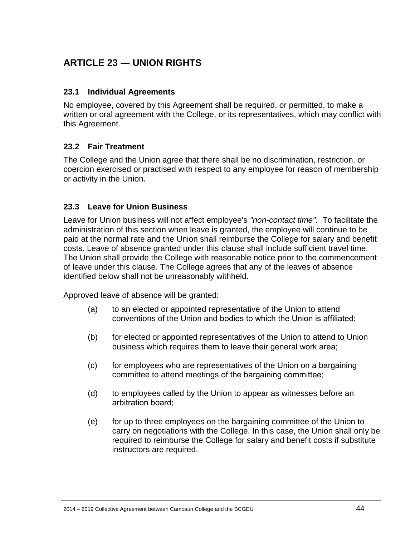# <span id="page-43-0"></span>**ARTICLE 23 ― UNION RIGHTS**

#### <span id="page-43-1"></span>**23.1 Individual Agreements**

No employee, covered by this Agreement shall be required, or permitted, to make a written or oral agreement with the College, or its representatives, which may conflict with this Agreement.

#### <span id="page-43-2"></span>**23.2 Fair Treatment**

The College and the Union agree that there shall be no discrimination, restriction, or coercion exercised or practised with respect to any employee for reason of membership or activity in the Union.

#### <span id="page-43-3"></span>**23.3 Leave for Union Business**

Leave for Union business will not affect employee's *"non-contact time".* To facilitate the administration of this section when leave is granted, the employee will continue to be paid at the normal rate and the Union shall reimburse the College for salary and benefit costs. Leave of absence granted under this clause shall include sufficient travel time. The Union shall provide the College with reasonable notice prior to the commencement of leave under this clause. The College agrees that any of the leaves of absence identified below shall not be unreasonably withheld.

Approved leave of absence will be granted:

- (a) to an elected or appointed representative of the Union to attend conventions of the Union and bodies to which the Union is affiliated;
- (b) for elected or appointed representatives of the Union to attend to Union business which requires them to leave their general work area;
- (c) for employees who are representatives of the Union on a bargaining committee to attend meetings of the bargaining committee;
- (d) to employees called by the Union to appear as witnesses before an arbitration board;
- (e) for up to three employees on the bargaining committee of the Union to carry on negotiations with the College. In this case, the Union shall only be required to reimburse the College for salary and benefit costs if substitute instructors are required.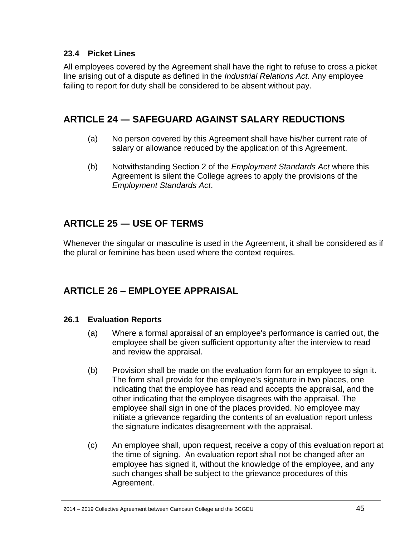## <span id="page-44-0"></span>**23.4 Picket Lines**

All employees covered by the Agreement shall have the right to refuse to cross a picket line arising out of a dispute as defined in the *Industrial Relations Act*. Any employee failing to report for duty shall be considered to be absent without pay.

# <span id="page-44-1"></span>**ARTICLE 24 ― SAFEGUARD AGAINST SALARY REDUCTIONS**

- (a) No person covered by this Agreement shall have his/her current rate of salary or allowance reduced by the application of this Agreement.
- (b) Notwithstanding Section 2 of the *Employment Standards Act* where this Agreement is silent the College agrees to apply the provisions of the *Employment Standards Act*.

# <span id="page-44-2"></span>**ARTICLE 25 ― USE OF TERMS**

Whenever the singular or masculine is used in the Agreement, it shall be considered as if the plural or feminine has been used where the context requires.

# **ARTICLE 26 – EMPLOYEE APPRAISAL**

## <span id="page-44-3"></span>**26.1 Evaluation Reports**

- (a) Where a formal appraisal of an employee's performance is carried out, the employee shall be given sufficient opportunity after the interview to read and review the appraisal.
- (b) Provision shall be made on the evaluation form for an employee to sign it. The form shall provide for the employee's signature in two places, one indicating that the employee has read and accepts the appraisal, and the other indicating that the employee disagrees with the appraisal. The employee shall sign in one of the places provided. No employee may initiate a grievance regarding the contents of an evaluation report unless the signature indicates disagreement with the appraisal.
- (c) An employee shall, upon request, receive a copy of this evaluation report at the time of signing. An evaluation report shall not be changed after an employee has signed it, without the knowledge of the employee, and any such changes shall be subject to the grievance procedures of this Agreement.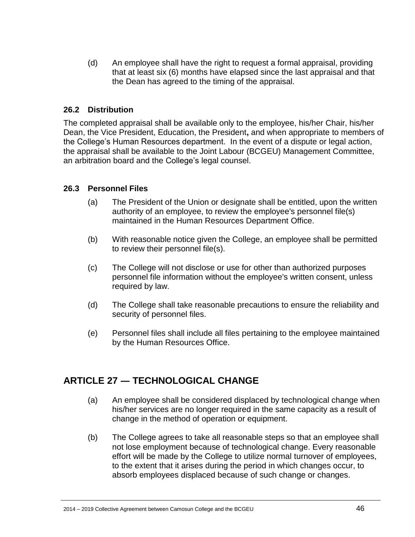(d) An employee shall have the right to request a formal appraisal, providing that at least six (6) months have elapsed since the last appraisal and that the Dean has agreed to the timing of the appraisal.

## <span id="page-45-0"></span>**26.2 Distribution**

The completed appraisal shall be available only to the employee, his/her Chair, his/her Dean, the Vice President, Education, the President**,** and when appropriate to members of the College's Human Resources department. In the event of a dispute or legal action, the appraisal shall be available to the Joint Labour (BCGEU) Management Committee, an arbitration board and the College's legal counsel.

#### <span id="page-45-1"></span>**26.3 Personnel Files**

- (a) The President of the Union or designate shall be entitled, upon the written authority of an employee, to review the employee's personnel file(s) maintained in the Human Resources Department Office.
- (b) With reasonable notice given the College, an employee shall be permitted to review their personnel file(s).
- (c) The College will not disclose or use for other than authorized purposes personnel file information without the employee's written consent, unless required by law.
- (d) The College shall take reasonable precautions to ensure the reliability and security of personnel files.
- (e) Personnel files shall include all files pertaining to the employee maintained by the Human Resources Office.

# <span id="page-45-2"></span>**ARTICLE 27 ― TECHNOLOGICAL CHANGE**

- (a) An employee shall be considered displaced by technological change when his/her services are no longer required in the same capacity as a result of change in the method of operation or equipment.
- (b) The College agrees to take all reasonable steps so that an employee shall not lose employment because of technological change. Every reasonable effort will be made by the College to utilize normal turnover of employees, to the extent that it arises during the period in which changes occur, to absorb employees displaced because of such change or changes.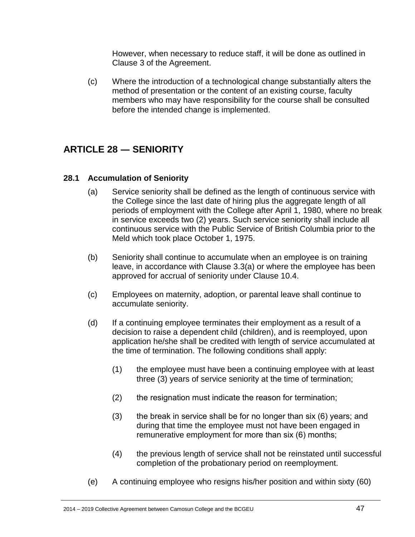However, when necessary to reduce staff, it will be done as outlined in Clause 3 of the Agreement.

(c) Where the introduction of a technological change substantially alters the method of presentation or the content of an existing course, faculty members who may have responsibility for the course shall be consulted before the intended change is implemented.

# <span id="page-46-0"></span>**ARTICLE 28 ― SENIORITY**

## <span id="page-46-1"></span>**28.1 Accumulation of Seniority**

- (a) Service seniority shall be defined as the length of continuous service with the College since the last date of hiring plus the aggregate length of all periods of employment with the College after April 1, 1980, where no break in service exceeds two (2) years. Such service seniority shall include all continuous service with the Public Service of British Columbia prior to the Meld which took place October 1, 1975.
- (b) Seniority shall continue to accumulate when an employee is on training leave, in accordance with Clause 3.3(a) or where the employee has been approved for accrual of seniority under Clause 10.4.
- (c) Employees on maternity, adoption, or parental leave shall continue to accumulate seniority.
- (d) If a continuing employee terminates their employment as a result of a decision to raise a dependent child (children), and is reemployed, upon application he/she shall be credited with length of service accumulated at the time of termination. The following conditions shall apply:
	- (1) the employee must have been a continuing employee with at least three (3) years of service seniority at the time of termination;
	- (2) the resignation must indicate the reason for termination;
	- (3) the break in service shall be for no longer than six (6) years; and during that time the employee must not have been engaged in remunerative employment for more than six (6) months;
	- (4) the previous length of service shall not be reinstated until successful completion of the probationary period on reemployment.
- (e) A continuing employee who resigns his/her position and within sixty (60)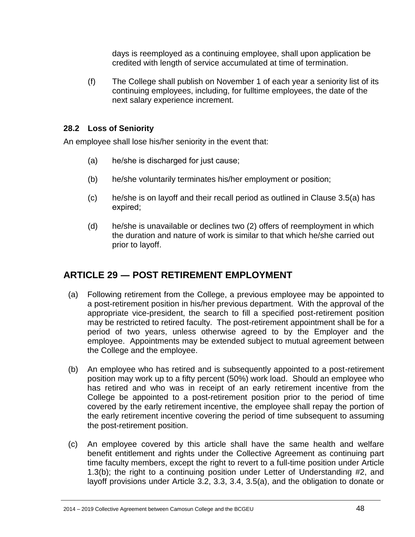days is reemployed as a continuing employee, shall upon application be credited with length of service accumulated at time of termination.

(f) The College shall publish on November 1 of each year a seniority list of its continuing employees, including, for fulltime employees, the date of the next salary experience increment.

#### <span id="page-47-0"></span>**28.2 Loss of Seniority**

An employee shall lose his/her seniority in the event that:

- (a) he/she is discharged for just cause;
- (b) he/she voluntarily terminates his/her employment or position;
- (c) he/she is on layoff and their recall period as outlined in Clause 3.5(a) has expired;
- (d) he/she is unavailable or declines two (2) offers of reemployment in which the duration and nature of work is similar to that which he/she carried out prior to layoff.

# <span id="page-47-1"></span>**ARTICLE 29 ― POST RETIREMENT EMPLOYMENT**

- (a) Following retirement from the College, a previous employee may be appointed to a post-retirement position in his/her previous department. With the approval of the appropriate vice-president, the search to fill a specified post-retirement position may be restricted to retired faculty. The post-retirement appointment shall be for a period of two years, unless otherwise agreed to by the Employer and the employee. Appointments may be extended subject to mutual agreement between the College and the employee.
- (b) An employee who has retired and is subsequently appointed to a post-retirement position may work up to a fifty percent (50%) work load. Should an employee who has retired and who was in receipt of an early retirement incentive from the College be appointed to a post-retirement position prior to the period of time covered by the early retirement incentive, the employee shall repay the portion of the early retirement incentive covering the period of time subsequent to assuming the post-retirement position.
- (c) An employee covered by this article shall have the same health and welfare benefit entitlement and rights under the Collective Agreement as continuing part time faculty members, except the right to revert to a full-time position under Article 1.3(b); the right to a continuing position under Letter of Understanding #2, and layoff provisions under Article 3.2, 3.3, 3.4, 3.5(a), and the obligation to donate or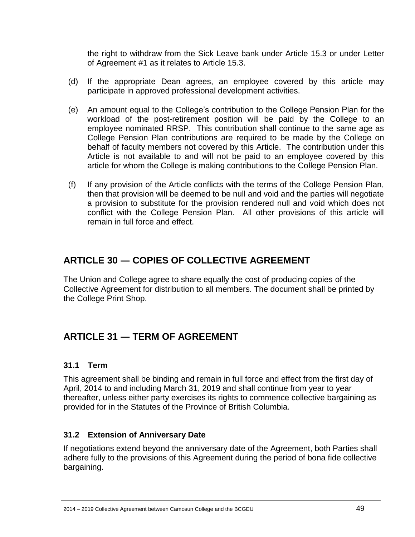the right to withdraw from the Sick Leave bank under Article 15.3 or under Letter of Agreement #1 as it relates to Article 15.3.

- (d) If the appropriate Dean agrees, an employee covered by this article may participate in approved professional development activities.
- (e) An amount equal to the College's contribution to the College Pension Plan for the workload of the post-retirement position will be paid by the College to an employee nominated RRSP. This contribution shall continue to the same age as College Pension Plan contributions are required to be made by the College on behalf of faculty members not covered by this Article. The contribution under this Article is not available to and will not be paid to an employee covered by this article for whom the College is making contributions to the College Pension Plan.
- (f) If any provision of the Article conflicts with the terms of the College Pension Plan, then that provision will be deemed to be null and void and the parties will negotiate a provision to substitute for the provision rendered null and void which does not conflict with the College Pension Plan. All other provisions of this article will remain in full force and effect.

# <span id="page-48-0"></span>**ARTICLE 30 ― COPIES OF COLLECTIVE AGREEMENT**

The Union and College agree to share equally the cost of producing copies of the Collective Agreement for distribution to all members. The document shall be printed by the College Print Shop.

# <span id="page-48-1"></span>**ARTICLE 31 ― TERM OF AGREEMENT**

# <span id="page-48-2"></span>**31.1 Term**

This agreement shall be binding and remain in full force and effect from the first day of April, 2014 to and including March 31, 2019 and shall continue from year to year thereafter, unless either party exercises its rights to commence collective bargaining as provided for in the Statutes of the Province of British Columbia.

# <span id="page-48-3"></span>**31.2 Extension of Anniversary Date**

If negotiations extend beyond the anniversary date of the Agreement, both Parties shall adhere fully to the provisions of this Agreement during the period of bona fide collective bargaining.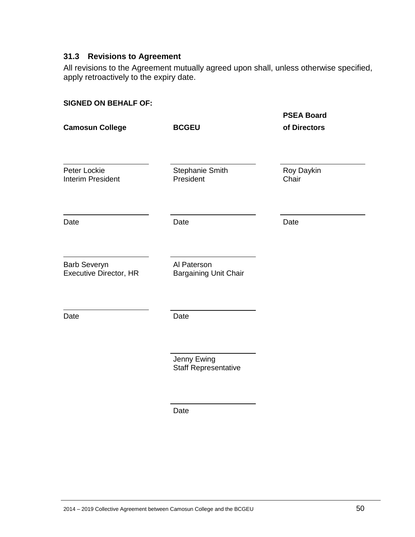## <span id="page-49-0"></span>**31.3 Revisions to Agreement**

All revisions to the Agreement mutually agreed upon shall, unless otherwise specified, apply retroactively to the expiry date.

| <b>PSEA Board</b>   |
|---------------------|
| of Directors        |
| Roy Daykin<br>Chair |
| Date                |
|                     |
|                     |
|                     |
|                     |

Date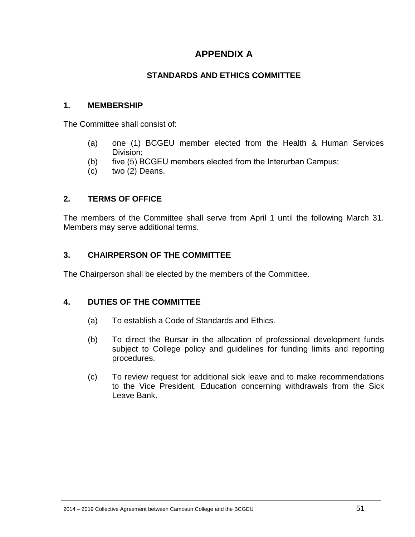# **APPENDIX A**

## **STANDARDS AND ETHICS COMMITTEE**

#### <span id="page-50-1"></span><span id="page-50-0"></span>**1. MEMBERSHIP**

The Committee shall consist of:

- (a) one (1) BCGEU member elected from the Health & Human Services Division;
- (b) five (5) BCGEU members elected from the Interurban Campus;
- (c) two (2) Deans.

#### **2. TERMS OF OFFICE**

The members of the Committee shall serve from April 1 until the following March 31. Members may serve additional terms.

#### **3. CHAIRPERSON OF THE COMMITTEE**

The Chairperson shall be elected by the members of the Committee.

#### **4. DUTIES OF THE COMMITTEE**

- (a) To establish a Code of Standards and Ethics.
- (b) To direct the Bursar in the allocation of professional development funds subject to College policy and guidelines for funding limits and reporting procedures.
- (c) To review request for additional sick leave and to make recommendations to the Vice President, Education concerning withdrawals from the Sick Leave Bank.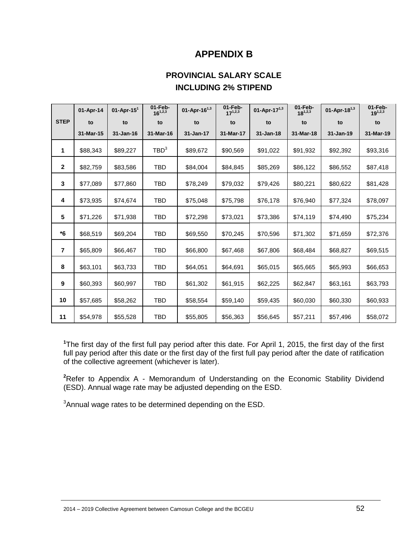# **APPENDIX B**

# **PROVINCIAL SALARY SCALE INCLUDING 2% STIPEND**

<span id="page-51-1"></span><span id="page-51-0"></span>

|                         | 01-Apr-14 | 01-Apr-15 $1$ | 01-Feb-<br>$16^{1,2,3}$ | 01-Apr-16 $^{1,3}$ | 01-Feb-<br>$17^{1,2,3}$ | 01-Apr-17 $^{1,3}$ | 01-Feb-<br>$18^{1,2,3}$ | 01-Apr-18 $^{1,3}$ | 01-Feb-<br>$19^{1,2,3}$ |
|-------------------------|-----------|---------------|-------------------------|--------------------|-------------------------|--------------------|-------------------------|--------------------|-------------------------|
| <b>STEP</b>             | to        | to            | to                      | to                 | to                      | to                 | to                      | to                 | to                      |
|                         | 31-Mar-15 | 31-Jan-16     | 31-Mar-16               | 31-Jan-17          | 31-Mar-17               | 31-Jan-18          | 31-Mar-18               | 31-Jan-19          | 31-Mar-19               |
| 1                       | \$88,343  | \$89,227      | TBD <sup>3</sup>        | \$89,672           | \$90,569                | \$91,022           | \$91,932                | \$92,392           | \$93,316                |
| $\mathbf{2}$            | \$82,759  | \$83,586      | <b>TBD</b>              | \$84,004           | \$84,845                | \$85,269           | \$86,122                | \$86,552           | \$87,418                |
| 3                       | \$77,089  | \$77,860      | TBD                     | \$78,249           | \$79,032                | \$79,426           | \$80,221                | \$80,622           | \$81,428                |
| 4                       | \$73,935  | \$74,674      | <b>TBD</b>              | \$75,048           | \$75,798                | \$76,178           | \$76,940                | \$77,324           | \$78,097                |
| 5                       | \$71,226  | \$71,938      | <b>TBD</b>              | \$72,298           | \$73,021                | \$73,386           | \$74,119                | \$74,490           | \$75,234                |
| *6                      | \$68,519  | \$69,204      | TBD                     | \$69,550           | \$70,245                | \$70,596           | \$71,302                | \$71,659           | \$72,376                |
| $\overline{\mathbf{r}}$ | \$65,809  | \$66,467      | TBD                     | \$66,800           | \$67,468                | \$67,806           | \$68,484                | \$68,827           | \$69,515                |
| 8                       | \$63,101  | \$63,733      | <b>TBD</b>              | \$64,051           | \$64,691                | \$65,015           | \$65,665                | \$65,993           | \$66,653                |
| 9                       | \$60,393  | \$60,997      | TBD                     | \$61,302           | \$61,915                | \$62,225           | \$62,847                | \$63,161           | \$63,793                |
| 10                      | \$57,685  | \$58,262      | TBD                     | \$58,554           | \$59,140                | \$59,435           | \$60,030                | \$60,330           | \$60,933                |
| 11                      | \$54,978  | \$55,528      | <b>TBD</b>              | \$55,805           | \$56,363                | \$56,645           | \$57,211                | \$57,496           | \$58,072                |

**<sup>1</sup>**The first day of the first full pay period after this date. For April 1, 2015, the first day of the first full pay period after this date or the first day of the first full pay period after the date of ratification of the collective agreement (whichever is later).

<sup>2</sup>Refer to Appendix A - Memorandum of Understanding on the Economic Stability Dividend (ESD). Annual wage rate may be adjusted depending on the ESD.

<sup>3</sup>Annual wage rates to be determined depending on the ESD.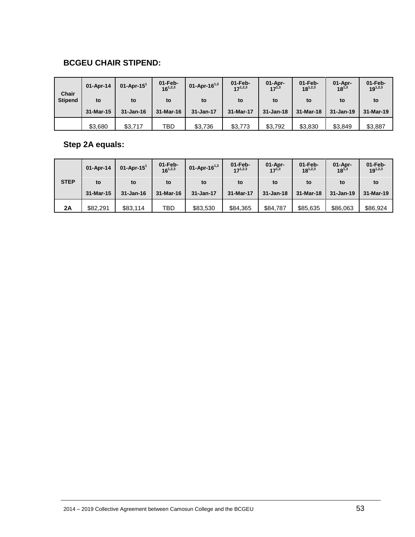# **BCGEU CHAIR STIPEND:**

| <b>Chair</b>   | 01-Apr-14 | $01$ -Apr-15 <sup>1</sup> | $01$ -Feb-<br>$16^{1,2,3}$ | 01-Apr-16 $^{1,3}$ | $01-Feb-$<br>$17^{1,2,3}$ | $01$ -Apr-<br>$17^{1,3}$ | $01$ -Feb-<br>$18^{1,2,3}$ | $01-Apr-$<br>$18^{1,3}$ | $01-Feb-$<br>$19^{1,2,3}$ |
|----------------|-----------|---------------------------|----------------------------|--------------------|---------------------------|--------------------------|----------------------------|-------------------------|---------------------------|
| <b>Stipend</b> | to        | to                        | to                         | to                 | to                        | to                       | to                         | to                      | to                        |
|                | 31-Mar-15 | 31-Jan-16                 | 31-Mar-16                  | 31-Jan-17          | 31-Mar-17                 | 31-Jan-18                | 31-Mar-18                  | 31-Jan-19               | 31-Mar-19                 |
|                | \$3.680   | \$3,717                   | <b>TBD</b>                 | \$3,736            | \$3,773                   | \$3,792                  | \$3,830                    | \$3,849                 | \$3,887                   |

## **Step 2A equals:**

<span id="page-52-0"></span>

|             | 01-Apr-14 | $01$ -Apr-15 $1$ | $01$ -Feb-<br>$16^{1,2,3}$ | 01-Apr-16 $^{1,3}$ | $01$ -Feb-<br>$17^{1,2,3}$ | $01$ -Apr-<br>$17^{1,3}$ | $01-Feb-$<br>$18^{1,2,3}$ | $01$ -Apr-<br>$18^{1,3}$ | $01-Feb-$<br>$19^{1,2,3}$ |
|-------------|-----------|------------------|----------------------------|--------------------|----------------------------|--------------------------|---------------------------|--------------------------|---------------------------|
| <b>STEP</b> | to        | to               | to                         | to                 | to                         | to                       | to                        | to                       | to                        |
|             | 31-Mar-15 | $31 - Jan-16$    | 31-Mar-16                  | 31-Jan-17          | 31-Mar-17                  | 31-Jan-18                | 31-Mar-18                 | $31 - Jan-19$            | 31-Mar-19                 |
| 2A          | \$82.291  | \$83.114         | TBD                        | \$83,530           | \$84,365                   | \$84,787                 | \$85,635                  | \$86,063                 | \$86,924                  |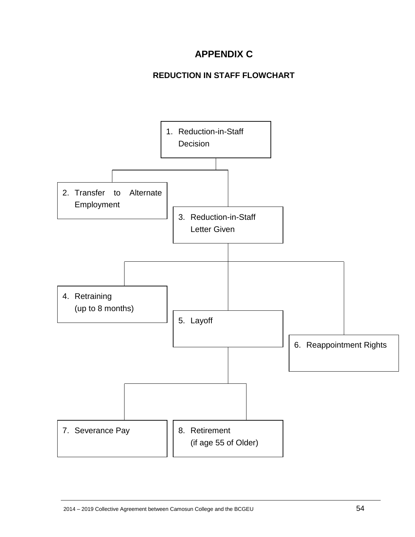# **APPENDIX C**

# **REDUCTION IN STAFF FLOWCHART**

<span id="page-53-0"></span>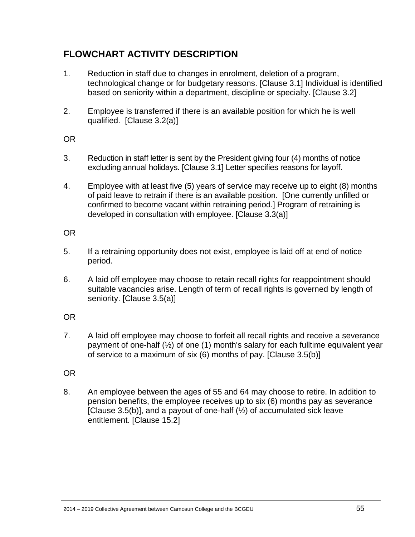# <span id="page-54-0"></span>**FLOWCHART ACTIVITY DESCRIPTION**

- 1. Reduction in staff due to changes in enrolment, deletion of a program, technological change or for budgetary reasons. [Clause 3.1] Individual is identified based on seniority within a department, discipline or specialty. [Clause 3.2]
- 2. Employee is transferred if there is an available position for which he is well qualified. [Clause 3.2(a)]

#### OR

- 3. Reduction in staff letter is sent by the President giving four (4) months of notice excluding annual holidays. [Clause 3.1] Letter specifies reasons for layoff.
- 4. Employee with at least five (5) years of service may receive up to eight (8) months of paid leave to retrain if there is an available position. [One currently unfilled or confirmed to become vacant within retraining period.] Program of retraining is developed in consultation with employee. [Clause 3.3(a)]

## OR

- 5. If a retraining opportunity does not exist, employee is laid off at end of notice period.
- 6. A laid off employee may choose to retain recall rights for reappointment should suitable vacancies arise. Length of term of recall rights is governed by length of seniority. [Clause 3.5(a)]

# OR

7. A laid off employee may choose to forfeit all recall rights and receive a severance payment of one-half (½) of one (1) month's salary for each fulltime equivalent year of service to a maximum of six (6) months of pay. [Clause 3.5(b)]

## OR

8. An employee between the ages of 55 and 64 may choose to retire. In addition to pension benefits, the employee receives up to six (6) months pay as severance [Clause 3.5(b)], and a payout of one-half  $(\frac{1}{2})$  of accumulated sick leave entitlement. [Clause 15.2]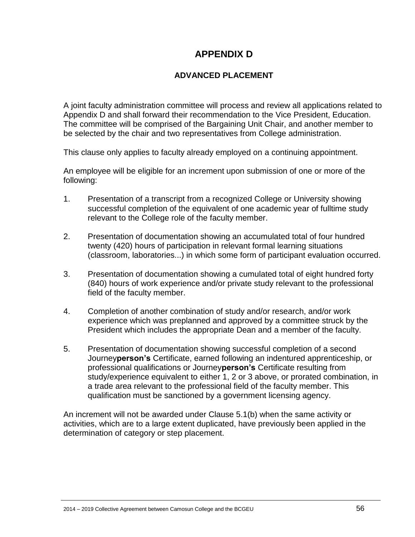# **APPENDIX D**

## **ADVANCED PLACEMENT**

<span id="page-55-1"></span><span id="page-55-0"></span>A joint faculty administration committee will process and review all applications related to Appendix D and shall forward their recommendation to the Vice President, Education. The committee will be comprised of the Bargaining Unit Chair, and another member to be selected by the chair and two representatives from College administration.

This clause only applies to faculty already employed on a continuing appointment.

An employee will be eligible for an increment upon submission of one or more of the following:

- 1. Presentation of a transcript from a recognized College or University showing successful completion of the equivalent of one academic year of fulltime study relevant to the College role of the faculty member.
- 2. Presentation of documentation showing an accumulated total of four hundred twenty (420) hours of participation in relevant formal learning situations (classroom, laboratories...) in which some form of participant evaluation occurred.
- 3. Presentation of documentation showing a cumulated total of eight hundred forty (840) hours of work experience and/or private study relevant to the professional field of the faculty member.
- 4. Completion of another combination of study and/or research, and/or work experience which was preplanned and approved by a committee struck by the President which includes the appropriate Dean and a member of the faculty.
- 5. Presentation of documentation showing successful completion of a second Journey**person's** Certificate, earned following an indentured apprenticeship, or professional qualifications or Journey**person's** Certificate resulting from study/experience equivalent to either 1, 2 or 3 above, or prorated combination, in a trade area relevant to the professional field of the faculty member. This qualification must be sanctioned by a government licensing agency.

An increment will not be awarded under Clause 5.1(b) when the same activity or activities, which are to a large extent duplicated, have previously been applied in the determination of category or step placement.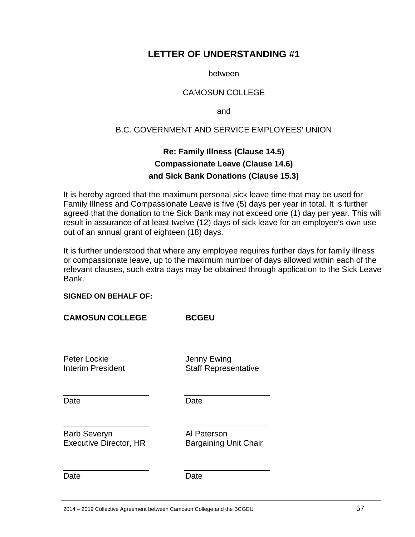# <span id="page-56-0"></span>**LETTER OF UNDERSTANDING #1**

between

#### CAMOSUN COLLEGE

and

#### B.C. GOVERNMENT AND SERVICE EMPLOYEES' UNION

# **Re: Family Illness (Clause 14.5) Compassionate Leave (Clause 14.6) and Sick Bank Donations (Clause 15.3)**

<span id="page-56-1"></span>It is hereby agreed that the maximum personal sick leave time that may be used for Family Illness and Compassionate Leave is five (5) days per year in total. It is further agreed that the donation to the Sick Bank may not exceed one (1) day per year. This will result in assurance of at least twelve (12) days of sick leave for an employee's own use out of an annual grant of eighteen (18) days.

It is further understood that where any employee requires further days for family illness or compassionate leave, up to the maximum number of days allowed within each of the relevant clauses, such extra days may be obtained through application to the Sick Leave Bank.

#### **SIGNED ON BEHALF OF:**

| <b>CAMOSUN COLLEGE</b>                               | <b>BCGEU</b>                                |
|------------------------------------------------------|---------------------------------------------|
| Peter Lockie<br>Interim President                    | Jenny Ewing<br><b>Staff Representative</b>  |
| Date                                                 | Date                                        |
| <b>Barb Severyn</b><br><b>Executive Director, HR</b> | Al Paterson<br><b>Bargaining Unit Chair</b> |
| Date                                                 | Date                                        |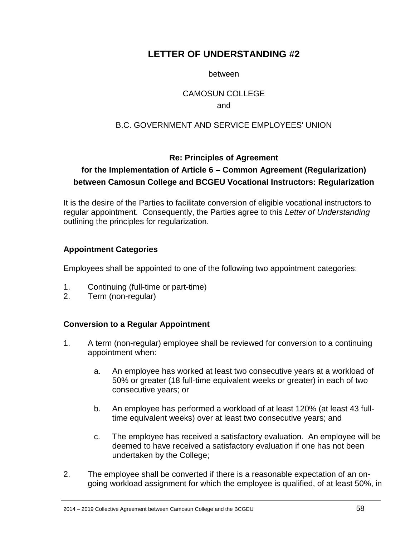# <span id="page-57-0"></span>**LETTER OF UNDERSTANDING #2**

between

#### CAMOSUN COLLEGE

#### and

## B.C. GOVERNMENT AND SERVICE EMPLOYEES' UNION

## **Re: Principles of Agreement**

# <span id="page-57-1"></span>**for the Implementation of Article 6 – Common Agreement (Regularization) between Camosun College and BCGEU Vocational Instructors: Regularization**

It is the desire of the Parties to facilitate conversion of eligible vocational instructors to regular appointment. Consequently, the Parties agree to this *Letter of Understanding* outlining the principles for regularization.

#### **Appointment Categories**

Employees shall be appointed to one of the following two appointment categories:

- 1. Continuing (full-time or part-time)
- 2. Term (non-regular)

## **Conversion to a Regular Appointment**

- 1. A term (non-regular) employee shall be reviewed for conversion to a continuing appointment when:
	- a. An employee has worked at least two consecutive years at a workload of 50% or greater (18 full-time equivalent weeks or greater) in each of two consecutive years; or
	- b. An employee has performed a workload of at least 120% (at least 43 fulltime equivalent weeks) over at least two consecutive years; and
	- c. The employee has received a satisfactory evaluation. An employee will be deemed to have received a satisfactory evaluation if one has not been undertaken by the College;
- 2. The employee shall be converted if there is a reasonable expectation of an ongoing workload assignment for which the employee is qualified, of at least 50%, in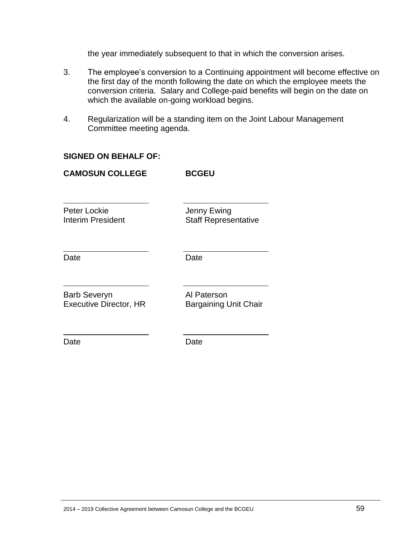the year immediately subsequent to that in which the conversion arises.

- 3. The employee's conversion to a Continuing appointment will become effective on the first day of the month following the date on which the employee meets the conversion criteria. Salary and College-paid benefits will begin on the date on which the available on-going workload begins.
- 4. Regularization will be a standing item on the Joint Labour Management Committee meeting agenda.

#### **SIGNED ON BEHALF OF:**

| <b>CAMOSUN COLLEGE</b>                               | <b>BCGEU</b>                                |
|------------------------------------------------------|---------------------------------------------|
| Peter Lockie<br>Interim President                    | Jenny Ewing<br><b>Staff Representative</b>  |
| Date                                                 | Date                                        |
| <b>Barb Severyn</b><br><b>Executive Director, HR</b> | Al Paterson<br><b>Bargaining Unit Chair</b> |
| Date                                                 | Date                                        |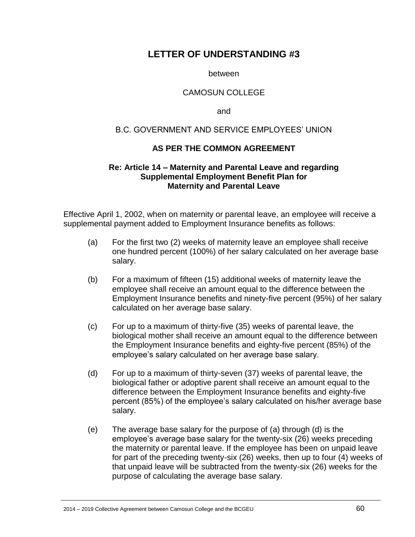# <span id="page-59-0"></span>**LETTER OF UNDERSTANDING #3**

between

#### CAMOSUN COLLEGE

and

#### B.C. GOVERNMENT AND SERVICE EMPLOYEES' UNION

#### **AS PER THE COMMON AGREEMENT**

#### <span id="page-59-1"></span>**Re: Article 14 – Maternity and Parental Leave and regarding Supplemental Employment Benefit Plan for Maternity and Parental Leave**

Effective April 1, 2002, when on maternity or parental leave, an employee will receive a supplemental payment added to Employment Insurance benefits as follows:

- (a) For the first two (2) weeks of maternity leave an employee shall receive one hundred percent (100%) of her salary calculated on her average base salary.
- (b) For a maximum of fifteen (15) additional weeks of maternity leave the employee shall receive an amount equal to the difference between the Employment Insurance benefits and ninety-five percent (95%) of her salary calculated on her average base salary.
- (c) For up to a maximum of thirty-five (35) weeks of parental leave, the biological mother shall receive an amount equal to the difference between the Employment Insurance benefits and eighty-five percent (85%) of the employee's salary calculated on her average base salary.
- (d) For up to a maximum of thirty-seven (37) weeks of parental leave, the biological father or adoptive parent shall receive an amount equal to the difference between the Employment Insurance benefits and eighty-five percent (85%) of the employee's salary calculated on his/her average base salary.
- (e) The average base salary for the purpose of (a) through (d) is the employee's average base salary for the twenty-six (26) weeks preceding the maternity or parental leave. If the employee has been on unpaid leave for part of the preceding twenty-six (26) weeks, then up to four (4) weeks of that unpaid leave will be subtracted from the twenty-six (26) weeks for the purpose of calculating the average base salary.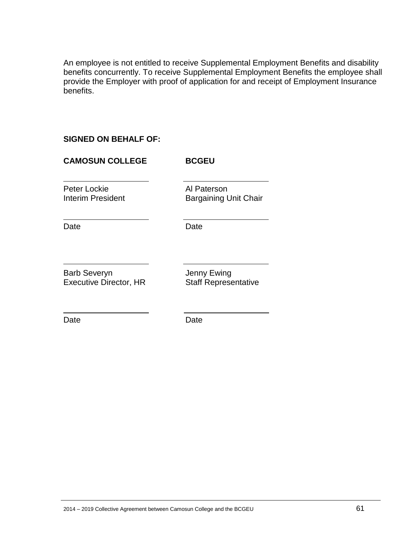An employee is not entitled to receive Supplemental Employment Benefits and disability benefits concurrently. To receive Supplemental Employment Benefits the employee shall provide the Employer with proof of application for and receipt of Employment Insurance benefits.

#### **SIGNED ON BEHALF OF:**

# **CAMOSUN COLLEGE BCGEU** Peter Lockie<br>
Interim President<br>
Al Pargaining L Bargaining Unit Chair Date Date Date Barb Severyn<br>
Executive Director, HR
Staff Representative Executive Director, HR

Date Date Date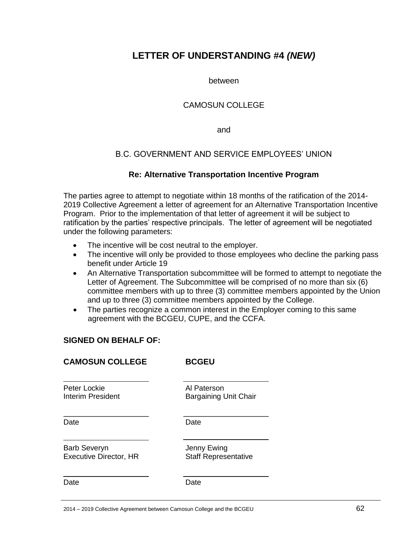# <span id="page-61-0"></span>**LETTER OF UNDERSTANDING #4** *(NEW)*

between

#### CAMOSUN COLLEGE

and

#### B.C. GOVERNMENT AND SERVICE EMPLOYEES' UNION

#### **Re: Alternative Transportation Incentive Program**

<span id="page-61-1"></span>The parties agree to attempt to negotiate within 18 months of the ratification of the 2014- 2019 Collective Agreement a letter of agreement for an Alternative Transportation Incentive Program. Prior to the implementation of that letter of agreement it will be subject to ratification by the parties' respective principals. The letter of agreement will be negotiated under the following parameters:

- The incentive will be cost neutral to the employer.
- The incentive will only be provided to those employees who decline the parking pass benefit under Article 19
- An Alternative Transportation subcommittee will be formed to attempt to negotiate the Letter of Agreement. The Subcommittee will be comprised of no more than six (6) committee members with up to three (3) committee members appointed by the Union and up to three (3) committee members appointed by the College.
- The parties recognize a common interest in the Employer coming to this same agreement with the BCGEU, CUPE, and the CCFA.

#### **SIGNED ON BEHALF OF:**

#### **CAMOSUN COLLEGE BCGEU**

Peter Lockie **Al Paterson** 

Interim President **Bargaining Unit Chair** 

Date **Date** Date

Barb Severyn **International Severyn** Jenny Ewing Executive Director, HR Staff Representative

Date **Date** Date